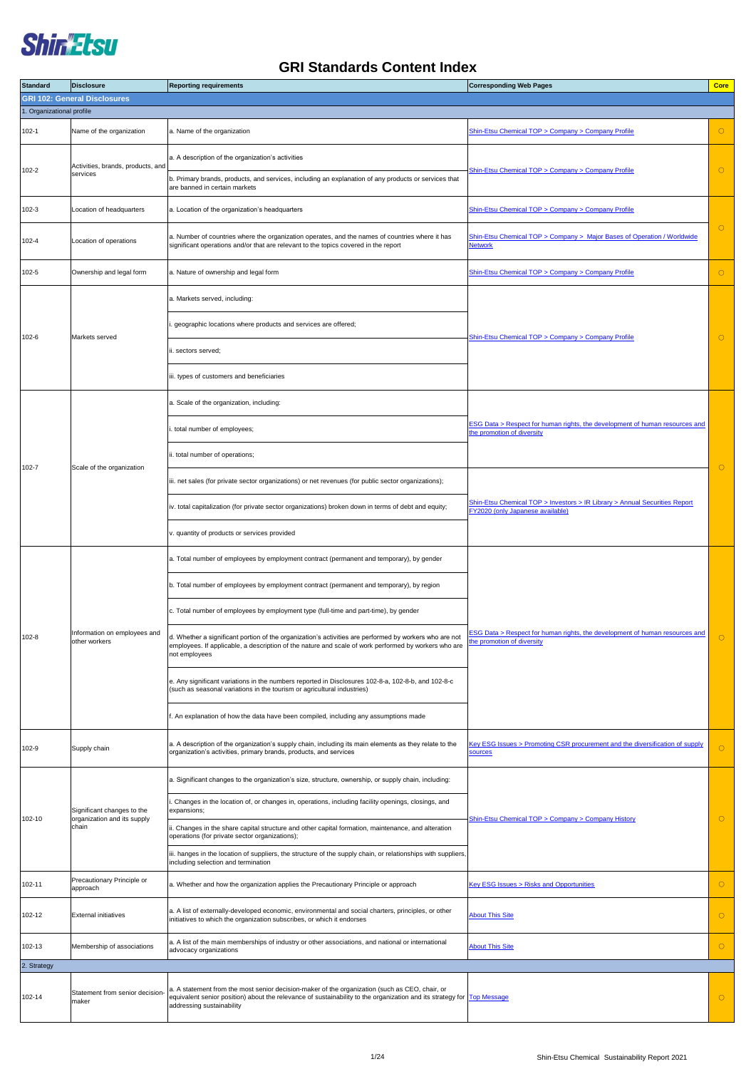| <b>Standard</b>           | <b>Disclosure</b>                             | <b>Reporting requirements</b>                                                                                                                                                                                                                         | <b>Corresponding Web Pages</b>                                                                                 | <b>Core</b> |
|---------------------------|-----------------------------------------------|-------------------------------------------------------------------------------------------------------------------------------------------------------------------------------------------------------------------------------------------------------|----------------------------------------------------------------------------------------------------------------|-------------|
| 1. Organizational profile | <b>GRI 102: General Disclosures</b>           |                                                                                                                                                                                                                                                       |                                                                                                                |             |
| $102 - 1$                 | Name of the organization                      | a. Name of the organization                                                                                                                                                                                                                           | Shin-Etsu Chemical TOP > Company > Company Profile                                                             | $\bigcirc$  |
|                           |                                               | a. A description of the organization's activities                                                                                                                                                                                                     |                                                                                                                |             |
| $102 - 2$                 | Activities, brands, products, and<br>services | b. Primary brands, products, and services, including an explanation of any products or services that<br>are banned in certain markets                                                                                                                 | Shin-Etsu Chemical TOP > Company > Company Profile                                                             | $\bigcirc$  |
| $102 - 3$                 | Location of headquarters                      | a. Location of the organization's headquarters                                                                                                                                                                                                        | Shin-Etsu Chemical TOP > Company > Company Profile                                                             |             |
| $102 - 4$                 | Location of operations                        | a. Number of countries where the organization operates, and the names of countries where it has<br>significant operations and/or that are relevant to the topics covered in the report                                                                | Shin-Etsu Chemical TOP > Company > Major Bases of Operation / Worldwide<br><b>Network</b>                      | $\bigcirc$  |
| $102 - 5$                 | Ownership and legal form                      | a. Nature of ownership and legal form                                                                                                                                                                                                                 | Shin-Etsu Chemical TOP > Company > Company Profile                                                             | $\bigcirc$  |
|                           |                                               | a. Markets served, including:                                                                                                                                                                                                                         |                                                                                                                |             |
| 102-6                     | Markets served                                | geographic locations where products and services are offered;                                                                                                                                                                                         | Shin-Etsu Chemical TOP > Company > Company Profile                                                             | $\bigcirc$  |
|                           |                                               | i. sectors served;                                                                                                                                                                                                                                    |                                                                                                                |             |
|                           |                                               | ii. types of customers and beneficiaries                                                                                                                                                                                                              |                                                                                                                |             |
|                           |                                               | a. Scale of the organization, including:                                                                                                                                                                                                              |                                                                                                                |             |
|                           |                                               | total number of employees;                                                                                                                                                                                                                            | ESG Data > Respect for human rights, the development of human resources and<br>the promotion of diversity      |             |
| 102-7                     | Scale of the organization                     | i. total number of operations;                                                                                                                                                                                                                        |                                                                                                                |             |
|                           |                                               | iii. net sales (for private sector organizations) or net revenues (for public sector organizations);                                                                                                                                                  |                                                                                                                | $\bigcirc$  |
|                           |                                               | iv. total capitalization (for private sector organizations) broken down in terms of debt and equity;                                                                                                                                                  | Shin-Etsu Chemical TOP > Investors > IR Library > Annual Securities Report<br>FY2020 (only Japanese available) |             |
|                           |                                               | v. quantity of products or services provided                                                                                                                                                                                                          |                                                                                                                |             |
|                           |                                               | a. Total number of employees by employment contract (permanent and temporary), by gender                                                                                                                                                              |                                                                                                                |             |
|                           |                                               | b. Total number of employees by employment contract (permanent and temporary), by region                                                                                                                                                              |                                                                                                                |             |
|                           |                                               | c. Total number of employees by employment type (full-time and part-time), by gender                                                                                                                                                                  |                                                                                                                |             |
| $102 - 8$                 | Information on employees and<br>other workers | d. Whether a significant portion of the organization's activities are performed by workers who are not<br>employees. If applicable, a description of the nature and scale of work performed by workers who are<br>not employees                       | ESG Data > Respect for human rights, the development of human resources and<br>the promotion of diversity      | $\bigcirc$  |
|                           |                                               | e. Any significant variations in the numbers reported in Disclosures 102-8-a, 102-8-b, and 102-8-c<br>(such as seasonal variations in the tourism or agricultural industries)                                                                         |                                                                                                                |             |
|                           |                                               | . An explanation of how the data have been compiled, including any assumptions made                                                                                                                                                                   |                                                                                                                |             |
| 102-9                     | Supply chain                                  | a. A description of the organization's supply chain, including its main elements as they relate to the<br>organization's activities, primary brands, products, and services                                                                           | Key ESG Issues > Promoting CSR procurement and the diversification of supply<br>sources                        | $\circ$     |
|                           |                                               | a. Significant changes to the organization's size, structure, ownership, or supply chain, including:                                                                                                                                                  |                                                                                                                |             |
|                           | Significant changes to the                    | Changes in the location of, or changes in, operations, including facility openings, closings, and<br>expansions;                                                                                                                                      |                                                                                                                |             |
| 102-10                    | organization and its supply<br>chain          | . Changes in the share capital structure and other capital formation, maintenance, and alteration<br>operations (for private sector organizations);                                                                                                   | <b>Shin-Etsu Chemical TOP &gt; Company &gt; Company History</b>                                                | $\bigcirc$  |
|                           |                                               | ii. hanges in the location of suppliers, the structure of the supply chain, or relationships with suppliers,<br>including selection and termination                                                                                                   |                                                                                                                |             |
| 102-11                    | Precautionary Principle or<br>approach        | a. Whether and how the organization applies the Precautionary Principle or approach                                                                                                                                                                   | <b>Key ESG Issues &gt; Risks and Opportunities</b>                                                             | $\bigcirc$  |
| 102-12                    | <b>External initiatives</b>                   | a. A list of externally-developed economic, environmental and social charters, principles, or other<br>initiatives to which the organization subscribes, or which it endorses                                                                         | <b>About This Site</b>                                                                                         | $\bigcirc$  |
| 102-13                    | Membership of associations                    | a. A list of the main memberships of industry or other associations, and national or international<br>advocacy organizations                                                                                                                          | <b>About This Site</b>                                                                                         | $\circ$     |
| 2. Strategy               |                                               |                                                                                                                                                                                                                                                       |                                                                                                                |             |
| 102-14                    | Statement from senior decision-<br>maker      | a. A statement from the most senior decision-maker of the organization (such as CEO, chair, or<br>equivalent senior position) about the relevance of sustainability to the organization and its strategy for Top Message<br>addressing sustainability |                                                                                                                | $\circ$     |

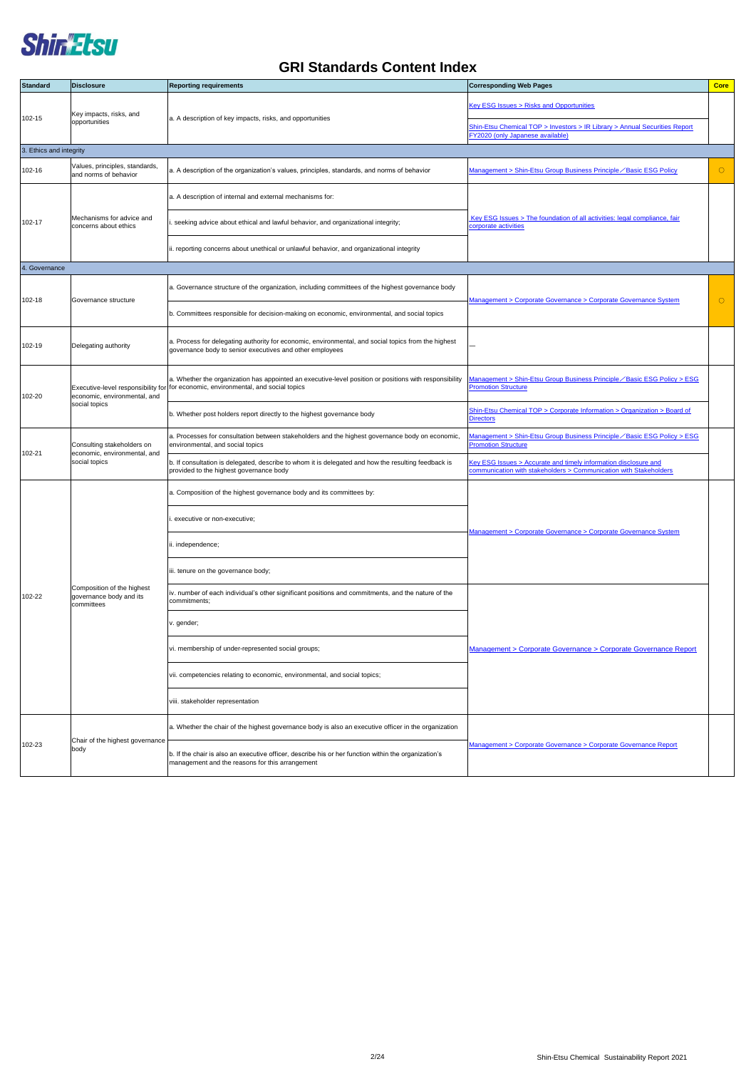

| <b>Standard</b>         | Disclosure                                                                          | <b>Reporting requirements</b>                                                                                                                                   | <b>Corresponding Web Pages</b>                                                                                                       | <b>Core</b> |
|-------------------------|-------------------------------------------------------------------------------------|-----------------------------------------------------------------------------------------------------------------------------------------------------------------|--------------------------------------------------------------------------------------------------------------------------------------|-------------|
| 102-15                  | Key impacts, risks, and<br>opportunities                                            | a. A description of key impacts, risks, and opportunities                                                                                                       | <b>Key ESG Issues &gt; Risks and Opportunities</b>                                                                                   |             |
|                         |                                                                                     |                                                                                                                                                                 | Shin-Etsu Chemical TOP > Investors > IR Library > Annual Securities Report<br>FY2020 (only Japanese available)                       |             |
| 3. Ethics and integrity |                                                                                     |                                                                                                                                                                 |                                                                                                                                      |             |
| 102-16                  | Values, principles, standards,<br>and norms of behavior                             | a. A description of the organization's values, principles, standards, and norms of behavior                                                                     | Management > Shin-Etsu Group Business Principle / Basic ESG Policy                                                                   | $\bigcirc$  |
|                         |                                                                                     | a. A description of internal and external mechanisms for:                                                                                                       |                                                                                                                                      |             |
| 102-17                  | Mechanisms for advice and<br>concerns about ethics                                  | seeking advice about ethical and lawful behavior, and organizational integrity;                                                                                 | Key ESG Issues > The foundation of all activities: legal compliance, fair<br>corporate activities                                    |             |
|                         |                                                                                     | i. reporting concerns about unethical or unlawful behavior, and organizational integrity                                                                        |                                                                                                                                      |             |
| 4. Governance           |                                                                                     |                                                                                                                                                                 |                                                                                                                                      |             |
| 102-18                  | Governance structure                                                                | a. Governance structure of the organization, including committees of the highest governance body                                                                | Management > Corporate Governance > Corporate Governance System                                                                      | $\circ$     |
|                         |                                                                                     | b. Committees responsible for decision-making on economic, environmental, and social topics                                                                     |                                                                                                                                      |             |
| 102-19                  | Delegating authority                                                                | a. Process for delegating authority for economic, environmental, and social topics from the highest<br>governance body to senior executives and other employees |                                                                                                                                      |             |
| 102-20                  | Executive-level responsibility for<br>economic, environmental, and<br>social topics | a. Whether the organization has appointed an executive-level position or positions with responsibility<br>for economic, environmental, and social topics        | Management > Shin-Etsu Group Business Principle∕Basic ESG Policy > ESG<br><b>Promotion Structure</b>                                 |             |
|                         |                                                                                     | b. Whether post holders report directly to the highest governance body                                                                                          | Shin-Etsu Chemical TOP > Corporate Information > Organization > Board of<br><b>Directors</b>                                         |             |
| 102-21                  | Consulting stakeholders on<br>economic, environmental, and<br>social topics         | a. Processes for consultation between stakeholders and the highest governance body on economic,<br>environmental, and social topics                             | Management > Shin-Etsu Group Business Principle / Basic ESG Policy > ESG<br><b>Promotion Structure</b>                               |             |
|                         |                                                                                     | b. If consultation is delegated, describe to whom it is delegated and how the resulting feedback is<br>provided to the highest governance body                  | Key ESG Issues > Accurate and timely information disclosure and<br>communication with stakeholders > Communication with Stakeholders |             |
|                         |                                                                                     | a. Composition of the highest governance body and its committees by:                                                                                            |                                                                                                                                      |             |
|                         |                                                                                     | executive or non-executive;                                                                                                                                     | Management > Corporate Governance > Corporate Governance System                                                                      |             |
|                         |                                                                                     | ii. independence;                                                                                                                                               |                                                                                                                                      |             |
|                         |                                                                                     | iii. tenure on the governance body;                                                                                                                             |                                                                                                                                      |             |
| 102-22                  | Composition of the highest<br>governance body and its<br>committees                 | iv. number of each individual's other significant positions and commitments, and the nature of the<br>commitments;                                              |                                                                                                                                      |             |
|                         |                                                                                     | v. gender;                                                                                                                                                      |                                                                                                                                      |             |
|                         |                                                                                     | vi. membership of under-represented social groups;                                                                                                              | Management > Corporate Governance > Corporate Governance Report                                                                      |             |
|                         |                                                                                     | vii. competencies relating to economic, environmental, and social topics;                                                                                       |                                                                                                                                      |             |
|                         |                                                                                     | viii. stakeholder representation                                                                                                                                |                                                                                                                                      |             |
|                         |                                                                                     | a. Whether the chair of the highest governance body is also an executive officer in the organization                                                            |                                                                                                                                      |             |
| 102-23                  | Chair of the highest governance<br>body                                             | b. If the chair is also an executive officer, describe his or her function within the organization's<br>management and the reasons for this arrangement         | Management > Corporate Governance > Corporate Governance Report                                                                      |             |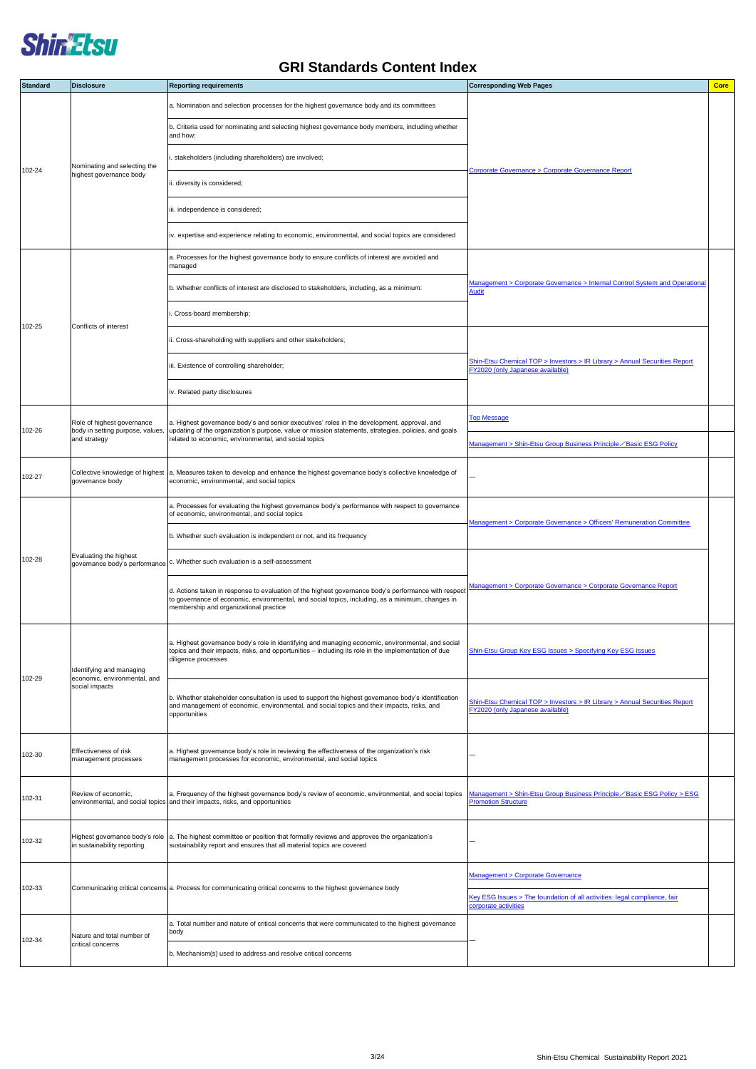

| <b>Standard</b> | <b>Disclosure</b>                                              | <b>Reporting requirements</b>                                                                                                                                                                                                                      | <b>Corresponding Web Pages</b>                                                                                                                   | <b>Core</b> |
|-----------------|----------------------------------------------------------------|----------------------------------------------------------------------------------------------------------------------------------------------------------------------------------------------------------------------------------------------------|--------------------------------------------------------------------------------------------------------------------------------------------------|-------------|
|                 |                                                                | a. Nomination and selection processes for the highest governance body and its committees                                                                                                                                                           |                                                                                                                                                  |             |
|                 |                                                                | b. Criteria used for nominating and selecting highest governance body members, including whether<br>and how:                                                                                                                                       |                                                                                                                                                  |             |
| 102-24          | Nominating and selecting the                                   | . stakeholders (including shareholders) are involved;                                                                                                                                                                                              | <b>Corporate Governance &gt; Corporate Governance Report</b>                                                                                     |             |
|                 | highest governance body                                        | ii. diversity is considered;                                                                                                                                                                                                                       |                                                                                                                                                  |             |
|                 |                                                                | iii. independence is considered;                                                                                                                                                                                                                   |                                                                                                                                                  |             |
|                 |                                                                | iv. expertise and experience relating to economic, environmental, and social topics are considered                                                                                                                                                 |                                                                                                                                                  |             |
|                 |                                                                | a. Processes for the highest governance body to ensure conflicts of interest are avoided and<br>managed                                                                                                                                            |                                                                                                                                                  |             |
|                 |                                                                | b. Whether conflicts of interest are disclosed to stakeholders, including, as a minimum:                                                                                                                                                           | Management > Corporate Governance > Internal Control System and Operational<br><b>Audit</b>                                                      |             |
| 102-25          | Conflicts of interest                                          | Cross-board membership;                                                                                                                                                                                                                            |                                                                                                                                                  |             |
|                 |                                                                | ii. Cross-shareholding with suppliers and other stakeholders;                                                                                                                                                                                      |                                                                                                                                                  |             |
|                 |                                                                | iii. Existence of controlling shareholder;                                                                                                                                                                                                         | Shin-Etsu Chemical TOP > Investors > IR Library > Annual Securities Report<br>FY2020 (only Japanese available)                                   |             |
|                 |                                                                | iv. Related party disclosures                                                                                                                                                                                                                      |                                                                                                                                                  |             |
| 102-26          | Role of highest governance<br>body in setting purpose, values, | a. Highest governance body's and senior executives' roles in the development, approval, and<br>updating of the organization's purpose, value or mission statements, strategies, policies, and goals                                                | <b>Top Message</b>                                                                                                                               |             |
|                 | and strategy                                                   | related to economic, environmental, and social topics                                                                                                                                                                                              | Management > Shin-Etsu Group Business Principle Basic ESG Policy                                                                                 |             |
| 102-27          | governance body                                                | Collective knowledge of highest  a. Measures taken to develop and enhance the highest governance body's collective knowledge of<br>economic, environmental, and social topics                                                                      |                                                                                                                                                  |             |
|                 |                                                                | a. Processes for evaluating the highest governance body's performance with respect to governance<br>of economic, environmental, and social topics                                                                                                  | Management > Corporate Governance > Officers' Remuneration Committee                                                                             |             |
|                 |                                                                | b. Whether such evaluation is independent or not, and its frequency                                                                                                                                                                                |                                                                                                                                                  |             |
| 102-28          | Evaluating the highest<br>governance body's performance        | c. Whether such evaluation is a self-assessment                                                                                                                                                                                                    |                                                                                                                                                  |             |
|                 |                                                                | d. Actions taken in response to evaluation of the highest governance body's performance with respect<br>to governance of economic, environmental, and social topics, including, as a minimum, changes in<br>membership and organizational practice | Management > Corporate Governance > Corporate Governance Report                                                                                  |             |
| 102-29          | Identifying and managing<br>economic, environmental, and       | a. Highest governance body's role in identifying and managing economic, environmental, and social<br>topics and their impacts, risks, and opportunities - including its role in the implementation of due<br>diligence processes                   | Shin-Etsu Group Key ESG Issues > Specifying Key ESG Issues                                                                                       |             |
|                 | social impacts                                                 | b. Whether stakeholder consultation is used to support the highest governance body's identification<br>and management of economic, environmental, and social topics and their impacts, risks, and<br>opportunities                                 | Shin-Etsu Chemical TOP > Investors > IR Library > Annual Securities Report<br><b>FY2020 (only Japanese available)</b>                            |             |
| 102-30          | <b>Effectiveness of risk</b><br>management processes           | a. Highest governance body's role in reviewing the effectiveness of the organization's risk<br>management processes for economic, environmental, and social topics                                                                                 |                                                                                                                                                  |             |
| 102-31          | Review of economic,                                            | a. Frequency of the highest governance body's review of economic, environmental, and social topics<br>environmental, and social topics and their impacts, risks, and opportunities                                                                 | Management > Shin-Etsu Group Business Principle / Basic ESG Policy > ESG<br><b>Promotion Structure</b>                                           |             |
| 102-32          | in sustainability reporting                                    | Highest governance body's role  a. The highest committee or position that formally reviews and approves the organization's<br>sustainability report and ensures that all material topics are covered                                               | $\overline{\phantom{0}}$                                                                                                                         |             |
| 102-33          |                                                                | Communicating critical concerns a. Process for communicating critical concerns to the highest governance body                                                                                                                                      | <b>Management &gt; Corporate Governance</b><br>Key ESG Issues > The foundation of all activities: legal compliance, fair<br>corporate activities |             |
|                 |                                                                | a. Total number and nature of critical concerns that were communicated to the highest governance<br>body                                                                                                                                           |                                                                                                                                                  |             |
| 102-34          | Nature and total number of<br>critical concerns                | b. Mechanism(s) used to address and resolve critical concerns                                                                                                                                                                                      |                                                                                                                                                  |             |
|                 |                                                                |                                                                                                                                                                                                                                                    |                                                                                                                                                  |             |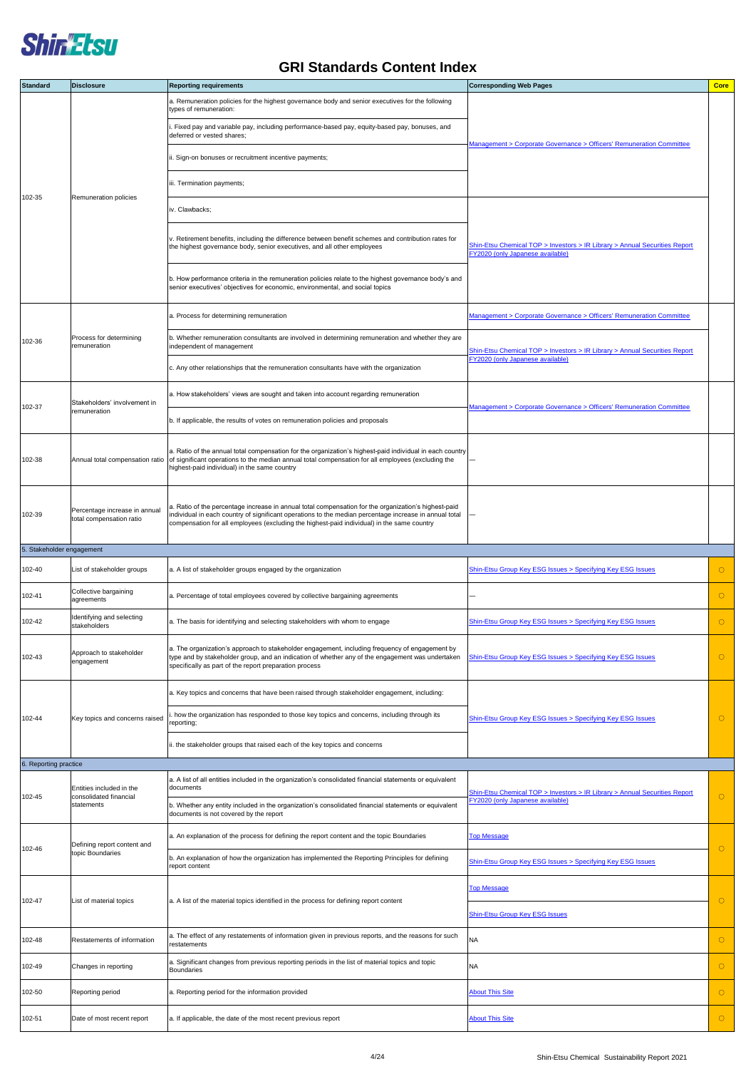

| <b>Standard</b>           | <b>Disclosure</b>                                         | <b>Reporting requirements</b>                                                                                                                                                                                                                                                                                           | <b>Corresponding Web Pages</b>                                                                                 | <b>Core</b> |
|---------------------------|-----------------------------------------------------------|-------------------------------------------------------------------------------------------------------------------------------------------------------------------------------------------------------------------------------------------------------------------------------------------------------------------------|----------------------------------------------------------------------------------------------------------------|-------------|
|                           |                                                           | a. Remuneration policies for the highest governance body and senior executives for the following<br>types of remuneration:                                                                                                                                                                                              |                                                                                                                |             |
|                           |                                                           | Fixed pay and variable pay, including performance-based pay, equity-based pay, bonuses, and<br>deferred or vested shares;                                                                                                                                                                                               |                                                                                                                |             |
|                           |                                                           | ii. Sign-on bonuses or recruitment incentive payments;                                                                                                                                                                                                                                                                  | Management > Corporate Governance > Officers' Remuneration Committee                                           |             |
| 102-35                    | Remuneration policies                                     | iii. Termination payments;                                                                                                                                                                                                                                                                                              |                                                                                                                |             |
|                           |                                                           | iv. Clawbacks;                                                                                                                                                                                                                                                                                                          |                                                                                                                |             |
|                           |                                                           | v. Retirement benefits, including the difference between benefit schemes and contribution rates for<br>the highest governance body, senior executives, and all other employees                                                                                                                                          | Shin-Etsu Chemical TOP > Investors > IR Library > Annual Securities Report<br>FY2020 (only Japanese available) |             |
|                           |                                                           | b. How performance criteria in the remuneration policies relate to the highest governance body's and<br>senior executives' objectives for economic, environmental, and social topics                                                                                                                                    |                                                                                                                |             |
|                           |                                                           | a. Process for determining remuneration                                                                                                                                                                                                                                                                                 | <b>Management &gt; Corporate Governance &gt; Officers' Remuneration Committee</b>                              |             |
| 102-36                    | Process for determining<br>remuneration                   | b. Whether remuneration consultants are involved in determining remuneration and whether they are<br>independent of management                                                                                                                                                                                          | Shin-Etsu Chemical TOP > Investors > IR Library > Annual Securities Report                                     |             |
|                           |                                                           | c. Any other relationships that the remuneration consultants have with the organization                                                                                                                                                                                                                                 | FY2020 (only Japanese available)                                                                               |             |
| 102-37                    | Stakeholders' involvement in<br>remuneration              | a. How stakeholders' views are sought and taken into account regarding remuneration                                                                                                                                                                                                                                     | Management > Corporate Governance > Officers' Remuneration Committee                                           |             |
|                           |                                                           | b. If applicable, the results of votes on remuneration policies and proposals                                                                                                                                                                                                                                           |                                                                                                                |             |
| 102-38                    | Annual total compensation ratio                           | a. Ratio of the annual total compensation for the organization's highest-paid individual in each country<br>of significant operations to the median annual total compensation for all employees (excluding the<br>highest-paid individual) in the same country                                                          |                                                                                                                |             |
| 102-39                    | Percentage increase in annual<br>total compensation ratio | a. Ratio of the percentage increase in annual total compensation for the organization's highest-paid<br>individual in each country of significant operations to the median percentage increase in annual total<br>compensation for all employees (excluding the highest-paid individual) in the same country            |                                                                                                                |             |
| 5. Stakeholder engagement |                                                           |                                                                                                                                                                                                                                                                                                                         |                                                                                                                |             |
| 102-40                    | List of stakeholder groups                                | a. A list of stakeholder groups engaged by the organization                                                                                                                                                                                                                                                             | Shin-Etsu Group Key ESG Issues > Specifying Key ESG Issues                                                     | $\bigcirc$  |
| 102-41                    | Collective bargaining<br>agreements                       | a. Percentage of total employees covered by collective bargaining agreements                                                                                                                                                                                                                                            |                                                                                                                | $\bigcirc$  |
| 102-42                    | Identifying and selecting<br>stakeholders                 | a. The basis for identifying and selecting stakeholders with whom to engage                                                                                                                                                                                                                                             | Shin-Etsu Group Key ESG Issues > Specifying Key ESG Issues                                                     | $\bigcirc$  |
| 102-43                    | Approach to stakeholder<br>engagement                     | a. The organization's approach to stakeholder engagement, including frequency of engagement by<br>type and by stakeholder group, and an indication of whether any of the engagement was undertaken Shin-Etsu Group Key ESG Issues > Specifying Key ESG Issues<br>specifically as part of the report preparation process |                                                                                                                |             |
|                           |                                                           | a. Key topics and concerns that have been raised through stakeholder engagement, including:                                                                                                                                                                                                                             |                                                                                                                |             |
| 102-44                    | Key topics and concerns raised                            | how the organization has responded to those key topics and concerns, including through its<br>reporting;                                                                                                                                                                                                                | Shin-Etsu Group Key ESG Issues > Specifying Key ESG Issues                                                     | $\circ$     |
|                           |                                                           | ii. the stakeholder groups that raised each of the key topics and concerns                                                                                                                                                                                                                                              |                                                                                                                |             |
| 6. Reporting practice     |                                                           |                                                                                                                                                                                                                                                                                                                         |                                                                                                                |             |
| 102-45                    | Entities included in the<br>consolidated financial        | a. A list of all entities included in the organization's consolidated financial statements or equivalent<br>documents                                                                                                                                                                                                   | Shin-Etsu Chemical TOP > Investors > IR Library > Annual Securities Report<br>FY2020 (only Japanese available) | $\bigcirc$  |
|                           | statements                                                | b. Whether any entity included in the organization's consolidated financial statements or equivalent<br>documents is not covered by the report                                                                                                                                                                          |                                                                                                                |             |
| 102-46                    | Defining report content and<br>topic Boundaries           | a. An explanation of the process for defining the report content and the topic Boundaries                                                                                                                                                                                                                               | <b>Top Message</b>                                                                                             | $\bigcirc$  |
|                           |                                                           | b. An explanation of how the organization has implemented the Reporting Principles for defining<br>report content                                                                                                                                                                                                       | Shin-Etsu Group Key ESG Issues > Specifying Key ESG Issues                                                     |             |
| 102-47                    | List of material topics                                   | a. A list of the material topics identified in the process for defining report content                                                                                                                                                                                                                                  | <b>Top Message</b>                                                                                             | $\bigcirc$  |
|                           |                                                           |                                                                                                                                                                                                                                                                                                                         | <b>Shin-Etsu Group Key ESG Issues</b>                                                                          |             |
| 102-48                    | Restatements of information                               | a. The effect of any restatements of information given in previous reports, and the reasons for such<br>restatements                                                                                                                                                                                                    | <b>NA</b>                                                                                                      | $\bigcirc$  |
| 102-49                    | Changes in reporting                                      | a. Significant changes from previous reporting periods in the list of material topics and topic<br>Boundaries                                                                                                                                                                                                           | <b>NA</b>                                                                                                      | $\bigcirc$  |
| 102-50                    | Reporting period                                          | a. Reporting period for the information provided                                                                                                                                                                                                                                                                        | <b>About This Site</b>                                                                                         | $\bigcirc$  |
| 102-51                    | Date of most recent report                                | a. If applicable, the date of the most recent previous report                                                                                                                                                                                                                                                           | <b>About This Site</b>                                                                                         | $\bigcirc$  |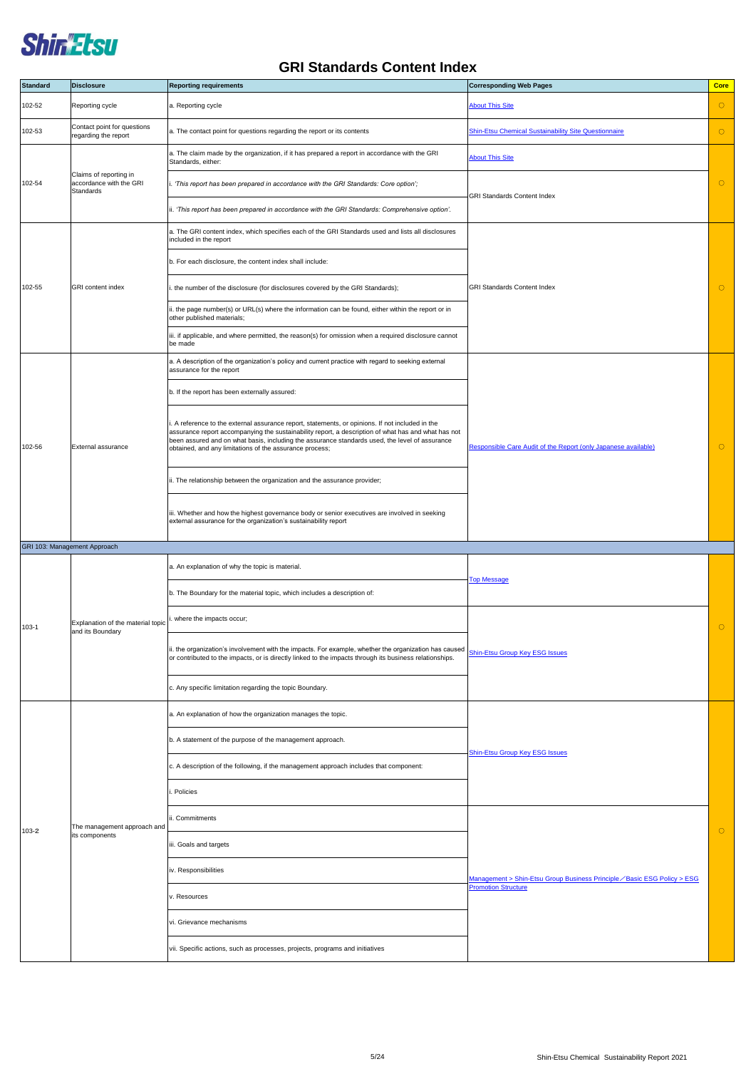

| <b>Standard</b> | <b>Disclosure</b>                                                     | <b>Reporting requirements</b>                                                                                                                                                                                                                                                                                                                                        | <b>Corresponding Web Pages</b>                                           | <b>Core</b> |
|-----------------|-----------------------------------------------------------------------|----------------------------------------------------------------------------------------------------------------------------------------------------------------------------------------------------------------------------------------------------------------------------------------------------------------------------------------------------------------------|--------------------------------------------------------------------------|-------------|
| 102-52          | Reporting cycle                                                       | a. Reporting cycle                                                                                                                                                                                                                                                                                                                                                   | <b>About This Site</b>                                                   | $\bigcirc$  |
| 102-53          | Contact point for questions<br>regarding the report                   | a. The contact point for questions regarding the report or its contents                                                                                                                                                                                                                                                                                              | <b>Shin-Etsu Chemical Sustainability Site Questionnaire</b>              | $\bigcirc$  |
|                 |                                                                       | a. The claim made by the organization, if it has prepared a report in accordance with the GRI<br>Standards, either:                                                                                                                                                                                                                                                  | <b>About This Site</b>                                                   |             |
| 102-54          | Claims of reporting in<br>accordance with the GRI<br><b>Standards</b> | 'This report has been prepared in accordance with the GRI Standards: Core option';                                                                                                                                                                                                                                                                                   |                                                                          | $\bigcirc$  |
|                 |                                                                       | 'This report has been prepared in accordance with the GRI Standards: Comprehensive option'.                                                                                                                                                                                                                                                                          | <b>GRI Standards Content Index</b>                                       |             |
|                 |                                                                       | a. The GRI content index, which specifies each of the GRI Standards used and lists all disclosures<br>included in the report                                                                                                                                                                                                                                         |                                                                          |             |
|                 |                                                                       | b. For each disclosure, the content index shall include:                                                                                                                                                                                                                                                                                                             |                                                                          |             |
| 102-55          | <b>GRI</b> content index                                              | the number of the disclosure (for disclosures covered by the GRI Standards);                                                                                                                                                                                                                                                                                         | <b>GRI Standards Content Index</b>                                       | $\circ$     |
|                 |                                                                       | the page number(s) or URL(s) where the information can be found, either within the report or in<br>other published materials;                                                                                                                                                                                                                                        |                                                                          |             |
|                 |                                                                       | iii. if applicable, and where permitted, the reason(s) for omission when a required disclosure cannot<br>be made                                                                                                                                                                                                                                                     |                                                                          |             |
|                 |                                                                       | a. A description of the organization's policy and current practice with regard to seeking external<br>assurance for the report                                                                                                                                                                                                                                       |                                                                          |             |
|                 |                                                                       | b. If the report has been externally assured:                                                                                                                                                                                                                                                                                                                        |                                                                          | $\bigcirc$  |
| 102-56          | <b>External assurance</b>                                             | i. A reference to the external assurance report, statements, or opinions. If not included in the<br>assurance report accompanying the sustainability report, a description of what has and what has not<br>been assured and on what basis, including the assurance standards used, the level of assurance<br>obtained, and any limitations of the assurance process; | Responsible Care Audit of the Report (only Japanese available)           |             |
|                 |                                                                       | . The relationship between the organization and the assurance provider;                                                                                                                                                                                                                                                                                              |                                                                          |             |
|                 |                                                                       | iii. Whether and how the highest governance body or senior executives are involved in seeking<br>external assurance for the organization's sustainability report                                                                                                                                                                                                     |                                                                          |             |
|                 | GRI 103: Management Approach                                          |                                                                                                                                                                                                                                                                                                                                                                      |                                                                          |             |
|                 |                                                                       | a. An explanation of why the topic is material.                                                                                                                                                                                                                                                                                                                      | <b>Top Message</b>                                                       |             |
|                 |                                                                       | b. The Boundary for the material topic, which includes a description of:                                                                                                                                                                                                                                                                                             |                                                                          |             |
| $103-1$         | Explanation of the material topic<br>and its Boundary                 | where the impacts occur;                                                                                                                                                                                                                                                                                                                                             |                                                                          | $\bigcirc$  |
|                 |                                                                       | ii. the organization's involvement with the impacts. For example, whether the organization has caused <u>Shin-Etsu Group Key ESG Issues</u><br>or contributed to the impacts, or is directly linked to the impacts through its business relationships.                                                                                                               |                                                                          |             |
|                 |                                                                       | c. Any specific limitation regarding the topic Boundary.                                                                                                                                                                                                                                                                                                             |                                                                          |             |
|                 |                                                                       | a. An explanation of how the organization manages the topic.                                                                                                                                                                                                                                                                                                         |                                                                          |             |
|                 |                                                                       | b. A statement of the purpose of the management approach.                                                                                                                                                                                                                                                                                                            |                                                                          |             |
|                 |                                                                       | c. A description of the following, if the management approach includes that component:                                                                                                                                                                                                                                                                               | <b>Shin-Etsu Group Key ESG Issues</b>                                    |             |
|                 |                                                                       | Policies                                                                                                                                                                                                                                                                                                                                                             |                                                                          |             |
|                 | The management approach and                                           | . Commitments                                                                                                                                                                                                                                                                                                                                                        |                                                                          |             |
| $103 - 2$       | its components                                                        | iii. Goals and targets                                                                                                                                                                                                                                                                                                                                               |                                                                          | $\circ$     |
|                 |                                                                       | iv. Responsibilities                                                                                                                                                                                                                                                                                                                                                 | Management > Shin-Etsu Group Business Principle / Basic ESG Policy > ESG |             |
|                 |                                                                       | v. Resources                                                                                                                                                                                                                                                                                                                                                         | <b>Promotion Structure</b>                                               |             |
|                 |                                                                       | vi. Grievance mechanisms                                                                                                                                                                                                                                                                                                                                             |                                                                          |             |
|                 |                                                                       | vii. Specific actions, such as processes, projects, programs and initiatives                                                                                                                                                                                                                                                                                         |                                                                          |             |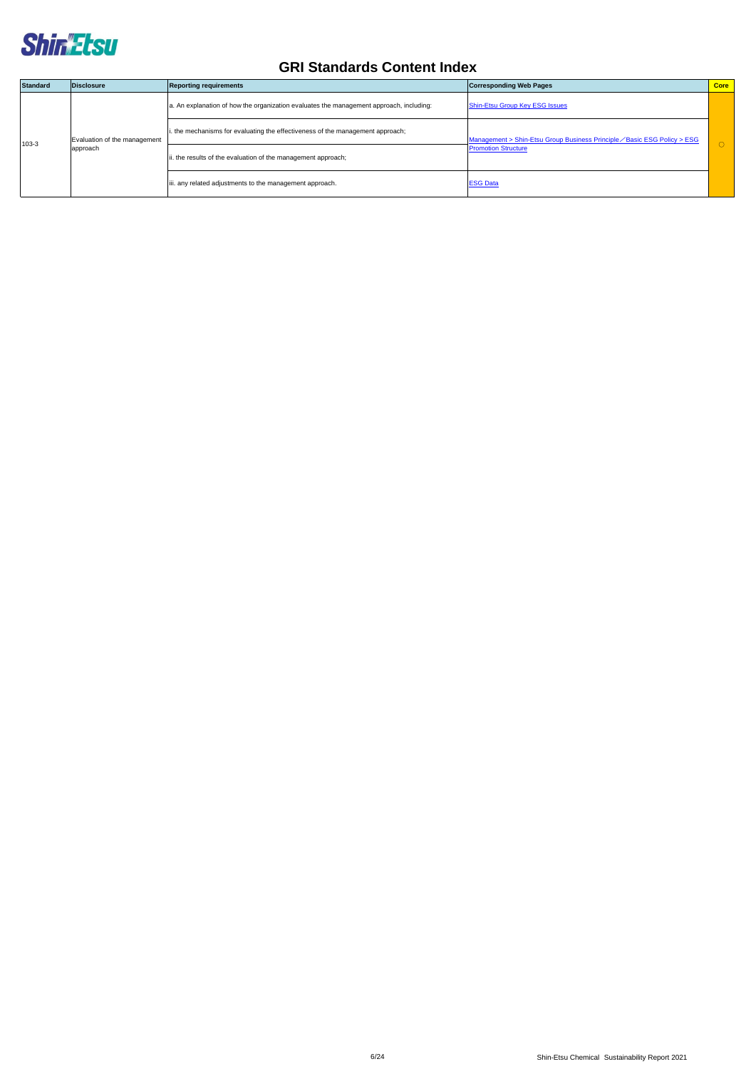

| <b>Standard</b> | Disclosure                                               | <b>Reporting requirements</b>                                                           | <b>Corresponding Web Pages</b>                                                                                       | <b>Core</b> |
|-----------------|----------------------------------------------------------|-----------------------------------------------------------------------------------------|----------------------------------------------------------------------------------------------------------------------|-------------|
| $103 - 3$       | Evaluation of the management                             | a. An explanation of how the organization evaluates the management approach, including: | <b>Shin-Etsu Group Key ESG Issues</b>                                                                                |             |
|                 |                                                          | . the mechanisms for evaluating the effectiveness of the management approach;           | Management > Shin-Etsu Group Business Principle / Basic ESG Policy > ESG<br>$\bigcirc$<br><b>Promotion Structure</b> |             |
|                 | approach                                                 | ii. the results of the evaluation of the management approach;                           |                                                                                                                      |             |
|                 | iii. any related adjustments to the management approach. |                                                                                         | <b>ESG Data</b>                                                                                                      |             |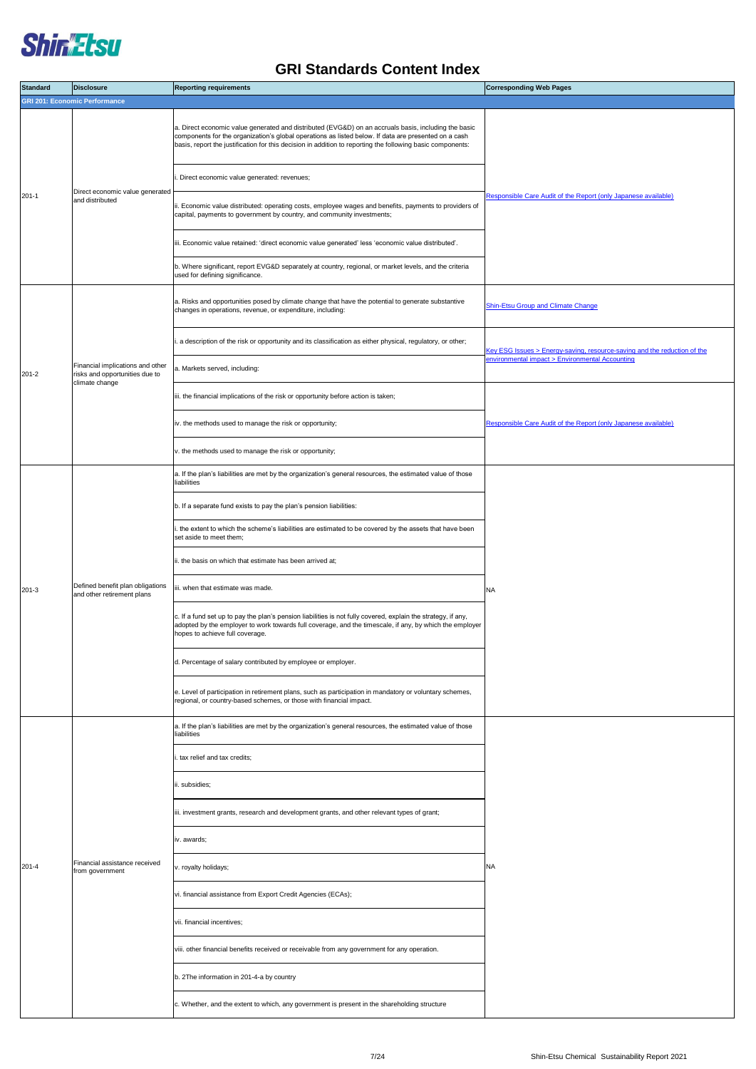|           |                                                  | c. If a fund set up to pay the plan's pension liabilities is not fully covered, explain the strategy, if any,<br>adopted by the employer to work towards full coverage, and the timescale, if any, by which the employer<br>hopes to achieve full coverage. |           |
|-----------|--------------------------------------------------|-------------------------------------------------------------------------------------------------------------------------------------------------------------------------------------------------------------------------------------------------------------|-----------|
|           |                                                  | d. Percentage of salary contributed by employee or employer.                                                                                                                                                                                                |           |
|           |                                                  | e. Level of participation in retirement plans, such as participation in mandatory or voluntary schemes,<br>regional, or country-based schemes, or those with financial impact.                                                                              |           |
|           |                                                  | a. If the plan's liabilities are met by the organization's general resources, the estimated value of those<br>liabilities                                                                                                                                   |           |
|           |                                                  | . tax relief and tax credits;                                                                                                                                                                                                                               |           |
|           |                                                  | ii. subsidies;                                                                                                                                                                                                                                              |           |
|           |                                                  | iii. investment grants, research and development grants, and other relevant types of grant;                                                                                                                                                                 |           |
|           |                                                  | iv. awards;                                                                                                                                                                                                                                                 |           |
| $201 - 4$ | Financial assistance received<br>from government | v. royalty holidays;                                                                                                                                                                                                                                        | <b>NA</b> |
|           |                                                  | vi. financial assistance from Export Credit Agencies (ECAs);                                                                                                                                                                                                |           |
|           |                                                  | vii. financial incentives;                                                                                                                                                                                                                                  |           |
|           |                                                  | viii. other financial benefits received or receivable from any government for any operation.                                                                                                                                                                |           |
|           |                                                  | b. 2The information in 201-4-a by country                                                                                                                                                                                                                   |           |
|           |                                                  | c. Whether, and the extent to which, any government is present in the shareholding structure                                                                                                                                                                |           |

| <b>Standard</b> | <b>Disclosure</b>                                                                    | <b>Reporting requirements</b>                                                                                                                                                                                                                                                                                              | <b>Corresponding Web Pages</b>                                           |
|-----------------|--------------------------------------------------------------------------------------|----------------------------------------------------------------------------------------------------------------------------------------------------------------------------------------------------------------------------------------------------------------------------------------------------------------------------|--------------------------------------------------------------------------|
|                 | <b>GRI 201: Economic Performance</b>                                                 |                                                                                                                                                                                                                                                                                                                            |                                                                          |
|                 |                                                                                      | a. Direct economic value generated and distributed (EVG&D) on an accruals basis, including the basic<br>components for the organization's global operations as listed below. If data are presented on a cash<br>basis, report the justification for this decision in addition to reporting the following basic components: |                                                                          |
|                 |                                                                                      | . Direct economic value generated: revenues;                                                                                                                                                                                                                                                                               |                                                                          |
| $201 - 1$       | Direct economic value generated<br>and distributed                                   | ii. Economic value distributed: operating costs, employee wages and benefits, payments to providers of<br>capital, payments to government by country, and community investments;                                                                                                                                           | Responsible Care Audit of the Report (only Japanese available)           |
|                 |                                                                                      | iii. Economic value retained: 'direct economic value generated' less 'economic value distributed'.                                                                                                                                                                                                                         |                                                                          |
|                 |                                                                                      | b. Where significant, report EVG&D separately at country, regional, or market levels, and the criteria<br>used for defining significance.                                                                                                                                                                                  |                                                                          |
|                 |                                                                                      | a. Risks and opportunities posed by climate change that have the potential to generate substantive<br>changes in operations, revenue, or expenditure, including:                                                                                                                                                           | <b>Shin-Etsu Group and Climate Change</b>                                |
|                 | Financial implications and other<br>risks and opportunities due to<br>climate change | . a description of the risk or opportunity and its classification as either physical, regulatory, or other;                                                                                                                                                                                                                | Key ESG Issues > Energy-saving, resource-saving and the reduction of the |
| $201 - 2$       |                                                                                      | a. Markets served, including:                                                                                                                                                                                                                                                                                              | environmental impact > Environmental Accounting                          |
|                 |                                                                                      | iii. the financial implications of the risk or opportunity before action is taken;                                                                                                                                                                                                                                         |                                                                          |
|                 |                                                                                      | iv. the methods used to manage the risk or opportunity;                                                                                                                                                                                                                                                                    | Responsible Care Audit of the Report (only Japanese available)           |
|                 |                                                                                      | v. the methods used to manage the risk or opportunity;                                                                                                                                                                                                                                                                     |                                                                          |
|                 |                                                                                      | a. If the plan's liabilities are met by the organization's general resources, the estimated value of those<br>liabilities                                                                                                                                                                                                  |                                                                          |
|                 |                                                                                      | b. If a separate fund exists to pay the plan's pension liabilities:                                                                                                                                                                                                                                                        |                                                                          |
|                 |                                                                                      | the extent to which the scheme's liabilities are estimated to be covered by the assets that have been<br>set aside to meet them;                                                                                                                                                                                           |                                                                          |
|                 |                                                                                      | ii. the basis on which that estimate has been arrived at;                                                                                                                                                                                                                                                                  |                                                                          |
| $201 - 3$       | Defined benefit plan obligations<br>and other retirement plans                       | iii. when that estimate was made.                                                                                                                                                                                                                                                                                          | <b>NA</b>                                                                |

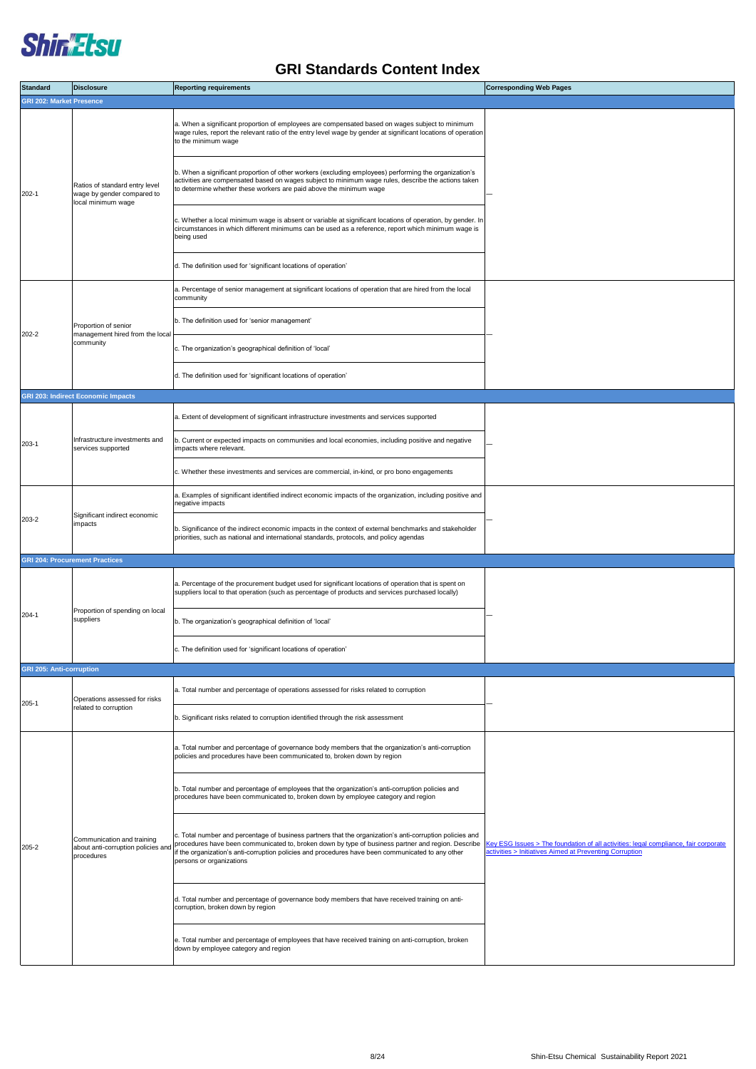

| <b>Standard</b>                 | <b>Disclosure</b>                                                                  | <b>Reporting requirements</b>                                                                                                                                                                                                                                                                                                                  | <b>Corresponding Web Pages</b>                                                                                                                 |
|---------------------------------|------------------------------------------------------------------------------------|------------------------------------------------------------------------------------------------------------------------------------------------------------------------------------------------------------------------------------------------------------------------------------------------------------------------------------------------|------------------------------------------------------------------------------------------------------------------------------------------------|
| <b>GRI 202: Market Presence</b> |                                                                                    |                                                                                                                                                                                                                                                                                                                                                |                                                                                                                                                |
|                                 |                                                                                    | a. When a significant proportion of employees are compensated based on wages subject to minimum<br>wage rules, report the relevant ratio of the entry level wage by gender at significant locations of operation<br>to the minimum wage                                                                                                        |                                                                                                                                                |
| $202 - 1$                       | Ratios of standard entry level<br>wage by gender compared to<br>local minimum wage | b. When a significant proportion of other workers (excluding employees) performing the organization's<br>activities are compensated based on wages subject to minimum wage rules, describe the actions taken<br>to determine whether these workers are paid above the minimum wage                                                             |                                                                                                                                                |
|                                 |                                                                                    | c. Whether a local minimum wage is absent or variable at significant locations of operation, by gender. In<br>circumstances in which different minimums can be used as a reference, report which minimum wage is<br>being used                                                                                                                 |                                                                                                                                                |
|                                 |                                                                                    | d. The definition used for 'significant locations of operation'                                                                                                                                                                                                                                                                                |                                                                                                                                                |
|                                 |                                                                                    | a. Percentage of senior management at significant locations of operation that are hired from the local<br>community                                                                                                                                                                                                                            |                                                                                                                                                |
| 202-2                           | Proportion of senior<br>management hired from the local                            | b. The definition used for 'senior management'                                                                                                                                                                                                                                                                                                 |                                                                                                                                                |
|                                 | community                                                                          | c. The organization's geographical definition of 'local'                                                                                                                                                                                                                                                                                       |                                                                                                                                                |
|                                 |                                                                                    | d. The definition used for 'significant locations of operation'                                                                                                                                                                                                                                                                                |                                                                                                                                                |
|                                 | <b>GRI 203: Indirect Economic Impacts</b>                                          |                                                                                                                                                                                                                                                                                                                                                |                                                                                                                                                |
|                                 |                                                                                    | a. Extent of development of significant infrastructure investments and services supported                                                                                                                                                                                                                                                      |                                                                                                                                                |
| $203-1$                         | Infrastructure investments and<br>services supported                               | o. Current or expected impacts on communities and local economies, including positive and negative<br>mpacts where relevant.                                                                                                                                                                                                                   |                                                                                                                                                |
|                                 |                                                                                    | c. Whether these investments and services are commercial, in-kind, or pro bono engagements                                                                                                                                                                                                                                                     |                                                                                                                                                |
|                                 |                                                                                    | a. Examples of significant identified indirect economic impacts of the organization, including positive and<br>negative impacts                                                                                                                                                                                                                |                                                                                                                                                |
| 203-2                           | Significant indirect economic<br>impacts                                           | . Significance of the indirect economic impacts in the context of external benchmarks and stakeholder<br>priorities, such as national and international standards, protocols, and policy agendas                                                                                                                                               |                                                                                                                                                |
|                                 | <b>GRI 204: Procurement Practices</b>                                              |                                                                                                                                                                                                                                                                                                                                                |                                                                                                                                                |
|                                 |                                                                                    | a. Percentage of the procurement budget used for significant locations of operation that is spent on<br>suppliers local to that operation (such as percentage of products and services purchased locally)                                                                                                                                      |                                                                                                                                                |
| $204 - 1$                       | Proportion of spending on local<br>suppliers                                       | b. The organization's geographical definition of 'local'                                                                                                                                                                                                                                                                                       |                                                                                                                                                |
|                                 |                                                                                    | c. The definition used for 'significant locations of operation'                                                                                                                                                                                                                                                                                |                                                                                                                                                |
| <b>GRI 205: Anti-corruption</b> |                                                                                    |                                                                                                                                                                                                                                                                                                                                                |                                                                                                                                                |
| $205 - 1$                       | Operations assessed for risks                                                      | a. Total number and percentage of operations assessed for risks related to corruption                                                                                                                                                                                                                                                          |                                                                                                                                                |
|                                 | related to corruption                                                              | b. Significant risks related to corruption identified through the risk assessment                                                                                                                                                                                                                                                              |                                                                                                                                                |
|                                 |                                                                                    | a. Total number and percentage of governance body members that the organization's anti-corruption<br>policies and procedures have been communicated to, broken down by region                                                                                                                                                                  |                                                                                                                                                |
|                                 |                                                                                    | b. Total number and percentage of employees that the organization's anti-corruption policies and<br>procedures have been communicated to, broken down by employee category and region                                                                                                                                                          |                                                                                                                                                |
| 205-2                           | Communication and training<br>about anti-corruption policies and<br>procedures     | c. Total number and percentage of business partners that the organization's anti-corruption policies and<br>procedures have been communicated to, broken down by type of business partner and region. Describe<br>f the organization's anti-corruption policies and procedures have been communicated to any other<br>persons or organizations | Key ESG Issues > The foundation of all activities: legal compliance, fair corporate<br>activities > Initiatives Aimed at Preventing Corruption |
|                                 |                                                                                    | d. Total number and percentage of governance body members that have received training on anti-<br>corruption, broken down by region                                                                                                                                                                                                            |                                                                                                                                                |
|                                 |                                                                                    | e. Total number and percentage of employees that have received training on anti-corruption, broken<br>down by employee category and region                                                                                                                                                                                                     |                                                                                                                                                |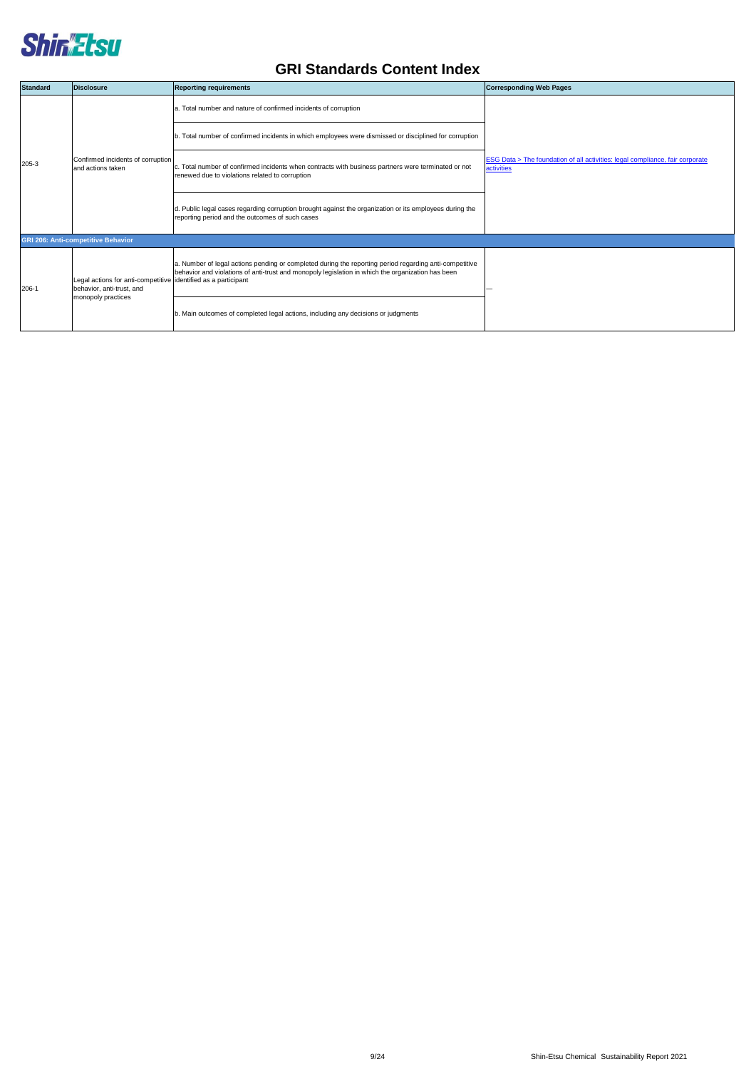

| <b>Standard</b> | <b>Disclosure</b>                                                                                                 | <b>Reporting requirements</b>                                                                                                                                                                               | <b>Corresponding Web Pages</b>                                                              |
|-----------------|-------------------------------------------------------------------------------------------------------------------|-------------------------------------------------------------------------------------------------------------------------------------------------------------------------------------------------------------|---------------------------------------------------------------------------------------------|
|                 |                                                                                                                   | a. Total number and nature of confirmed incidents of corruption                                                                                                                                             |                                                                                             |
|                 |                                                                                                                   | b. Total number of confirmed incidents in which employees were dismissed or disciplined for corruption                                                                                                      |                                                                                             |
| 205-3           | Confirmed incidents of corruption<br>land actions taken                                                           | c. Total number of confirmed incidents when contracts with business partners were terminated or not<br>renewed due to violations related to corruption                                                      | ESG Data > The foundation of all activities: legal compliance, fair corporate<br>activities |
|                 |                                                                                                                   | d. Public legal cases regarding corruption brought against the organization or its employees during the<br>reporting period and the outcomes of such cases                                                  |                                                                                             |
|                 | <b>GRI 206: Anti-competitive Behavior</b>                                                                         |                                                                                                                                                                                                             |                                                                                             |
| 206-1           | Legal actions for anti-competitive identified as a participant<br>behavior, anti-trust, and<br>monopoly practices | a. Number of legal actions pending or completed during the reporting period regarding anti-competitive<br>behavior and violations of anti-trust and monopoly legislation in which the organization has been |                                                                                             |
|                 |                                                                                                                   | b. Main outcomes of completed legal actions, including any decisions or judgments                                                                                                                           |                                                                                             |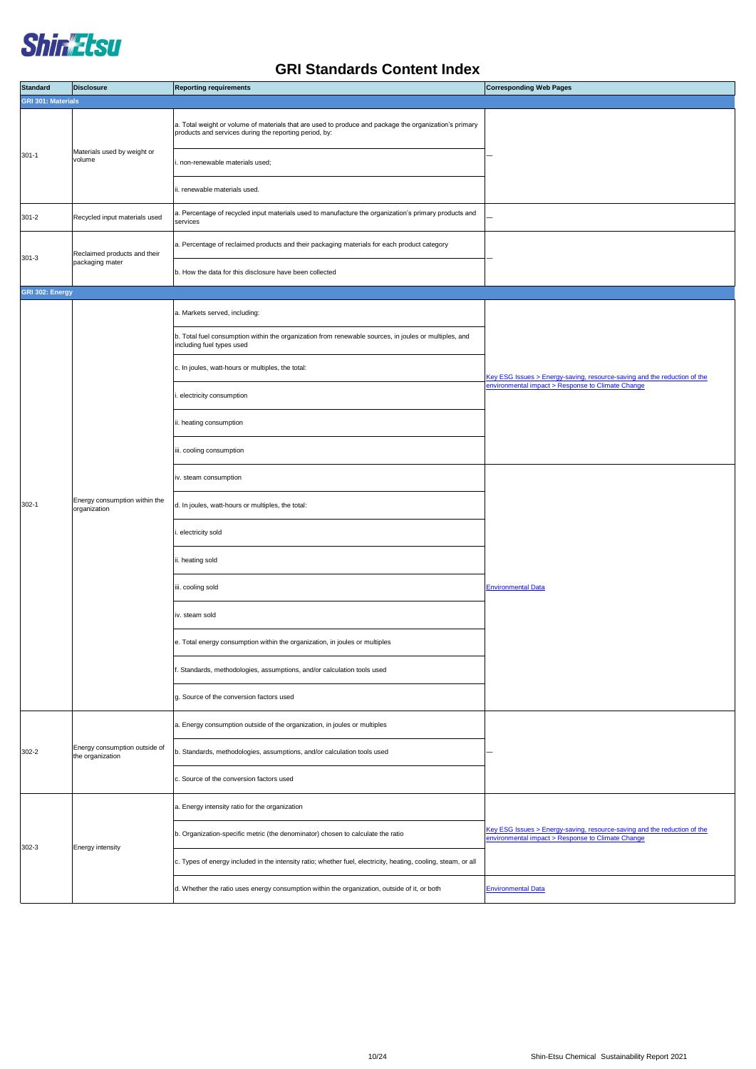|           |                                                   | iv. steam sold                                                                                                 |                                                                                                                               |
|-----------|---------------------------------------------------|----------------------------------------------------------------------------------------------------------------|-------------------------------------------------------------------------------------------------------------------------------|
|           |                                                   | e. Total energy consumption within the organization, in joules or multiples                                    |                                                                                                                               |
|           |                                                   | Standards, methodologies, assumptions, and/or calculation tools used                                           |                                                                                                                               |
|           |                                                   | g. Source of the conversion factors used                                                                       |                                                                                                                               |
|           |                                                   | a. Energy consumption outside of the organization, in joules or multiples                                      |                                                                                                                               |
| $302 - 2$ | Energy consumption outside of<br>the organization | b. Standards, methodologies, assumptions, and/or calculation tools used                                        |                                                                                                                               |
|           |                                                   | c. Source of the conversion factors used                                                                       |                                                                                                                               |
|           |                                                   | a. Energy intensity ratio for the organization                                                                 |                                                                                                                               |
| 302-3     | Energy intensity                                  | b. Organization-specific metric (the denominator) chosen to calculate the ratio                                | Key ESG Issues > Energy-saving, resource-saving and the reduction of the<br>environmental impact > Response to Climate Change |
|           |                                                   | c. Types of energy included in the intensity ratio; whether fuel, electricity, heating, cooling, steam, or all |                                                                                                                               |
|           |                                                   | d. Whether the ratio uses energy consumption within the organization, outside of it, or both                   | <b>Environmental Data</b>                                                                                                     |



| <b>Standard</b>           | <b>Disclosure</b>                             | <b>Reporting requirements</b>                                                                                                                                    | <b>Corresponding Web Pages</b>                                           |
|---------------------------|-----------------------------------------------|------------------------------------------------------------------------------------------------------------------------------------------------------------------|--------------------------------------------------------------------------|
| <b>GRI 301: Materials</b> |                                               |                                                                                                                                                                  |                                                                          |
|                           |                                               | a. Total weight or volume of materials that are used to produce and package the organization's primary<br>products and services during the reporting period, by: |                                                                          |
| $301 - 1$                 | Materials used by weight or<br>volume         | . non-renewable materials used;                                                                                                                                  |                                                                          |
|                           |                                               | ii. renewable materials used.                                                                                                                                    |                                                                          |
| $301 - 2$                 | Recycled input materials used                 | a. Percentage of recycled input materials used to manufacture the organization's primary products and<br>services                                                |                                                                          |
| $301 - 3$                 | Reclaimed products and their                  | a. Percentage of reclaimed products and their packaging materials for each product category                                                                      |                                                                          |
|                           | packaging mater                               | b. How the data for this disclosure have been collected                                                                                                          |                                                                          |
| <b>GRI 302: Energy</b>    |                                               |                                                                                                                                                                  |                                                                          |
|                           |                                               | a. Markets served, including:                                                                                                                                    |                                                                          |
|                           |                                               | b. Total fuel consumption within the organization from renewable sources, in joules or multiples, and<br>including fuel types used                               |                                                                          |
|                           |                                               | c. In joules, watt-hours or multiples, the total:                                                                                                                | Key ESG Issues > Energy-saving, resource-saving and the reduction of the |
|                           |                                               | electricity consumption                                                                                                                                          | environmental impact > Response to Climate Change                        |
|                           |                                               | ii. heating consumption                                                                                                                                          |                                                                          |
|                           |                                               | iii. cooling consumption                                                                                                                                         |                                                                          |
|                           |                                               | iv. steam consumption                                                                                                                                            |                                                                          |
| $302 - 1$                 | Energy consumption within the<br>organization | d. In joules, watt-hours or multiples, the total:                                                                                                                |                                                                          |
|                           |                                               | electricity sold                                                                                                                                                 |                                                                          |
|                           |                                               | ii. heating sold                                                                                                                                                 |                                                                          |
|                           |                                               | iii. cooling sold                                                                                                                                                | <b>Environmental Data</b>                                                |
|                           |                                               |                                                                                                                                                                  |                                                                          |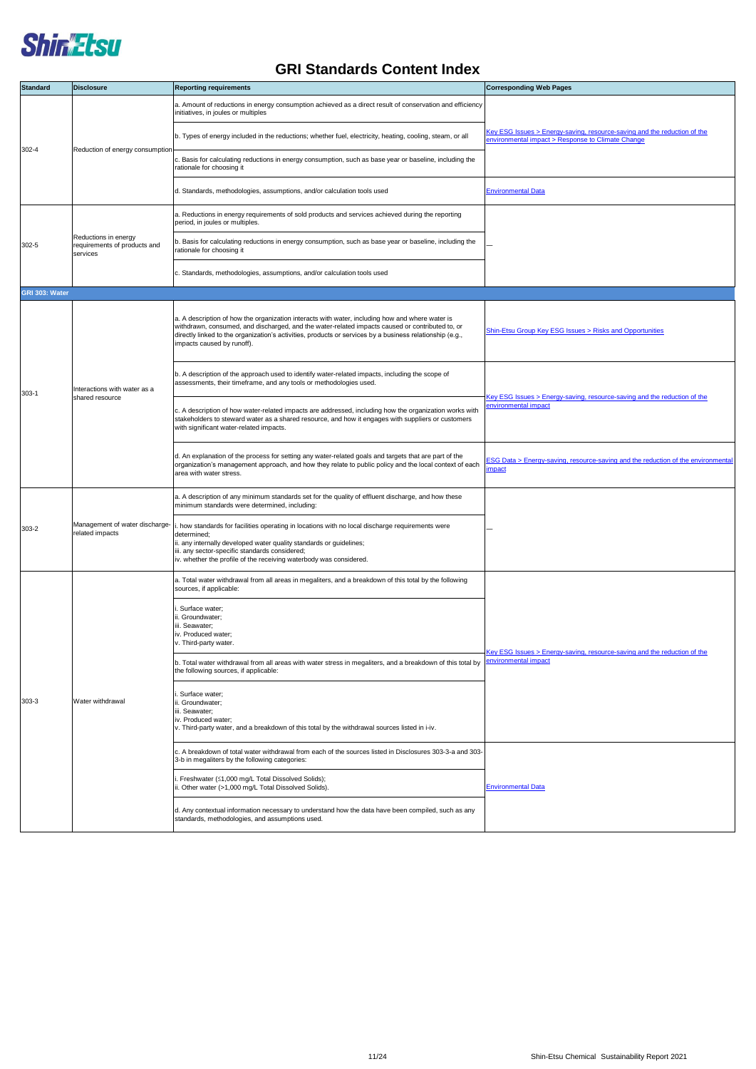

| <b>Standard</b>       | <b>Disclosure</b>                                                | <b>Reporting requirements</b>                                                                                                                                                                                                                                                                                                                | <b>Corresponding Web Pages</b>                                                                                                |
|-----------------------|------------------------------------------------------------------|----------------------------------------------------------------------------------------------------------------------------------------------------------------------------------------------------------------------------------------------------------------------------------------------------------------------------------------------|-------------------------------------------------------------------------------------------------------------------------------|
| $302 - 4$             | Reduction of energy consumption                                  | a. Amount of reductions in energy consumption achieved as a direct result of conservation and efficiency<br>initiatives, in joules or multiples                                                                                                                                                                                              |                                                                                                                               |
|                       |                                                                  | b. Types of energy included in the reductions; whether fuel, electricity, heating, cooling, steam, or all                                                                                                                                                                                                                                    | Key ESG Issues > Energy-saving, resource-saving and the reduction of the<br>environmental impact > Response to Climate Change |
|                       |                                                                  | c. Basis for calculating reductions in energy consumption, such as base year or baseline, including the<br>rationale for choosing it                                                                                                                                                                                                         |                                                                                                                               |
|                       |                                                                  | d. Standards, methodologies, assumptions, and/or calculation tools used                                                                                                                                                                                                                                                                      | <b>Environmental Data</b>                                                                                                     |
|                       |                                                                  | a. Reductions in energy requirements of sold products and services achieved during the reporting<br>period, in joules or multiples.                                                                                                                                                                                                          |                                                                                                                               |
| 302-5                 | Reductions in energy<br>requirements of products and<br>services | b. Basis for calculating reductions in energy consumption, such as base year or baseline, including the<br>rationale for choosing it                                                                                                                                                                                                         |                                                                                                                               |
|                       |                                                                  | c. Standards, methodologies, assumptions, and/or calculation tools used                                                                                                                                                                                                                                                                      |                                                                                                                               |
| <b>GRI 303: Water</b> |                                                                  |                                                                                                                                                                                                                                                                                                                                              |                                                                                                                               |
|                       |                                                                  | a. A description of how the organization interacts with water, including how and where water is<br>withdrawn, consumed, and discharged, and the water-related impacts caused or contributed to, or<br>directly linked to the organization's activities, products or services by a business relationship (e.g.,<br>impacts caused by runoff). | <b>Shin-Etsu Group Key ESG Issues &gt; Risks and Opportunities</b>                                                            |
| $303-1$               | Interactions with water as a                                     | b. A description of the approach used to identify water-related impacts, including the scope of<br>assessments, their timeframe, and any tools or methodologies used.                                                                                                                                                                        |                                                                                                                               |
|                       | shared resource                                                  | c. A description of how water-related impacts are addressed, including how the organization works with<br>stakeholders to steward water as a shared resource, and how it engages with suppliers or customers<br>with significant water-related impacts.                                                                                      | Key ESG Issues > Energy-saving, resource-saving and the reduction of the<br>environmental impact                              |
|                       |                                                                  | d. An explanation of the process for setting any water-related goals and targets that are part of the<br>organization's management approach, and how they relate to public policy and the local context of each<br>area with water stress.                                                                                                   | ESG Data > Energy-saving, resource-saving and the reduction of the environmental<br>impact                                    |
|                       |                                                                  | a. A description of any minimum standards set for the quality of effluent discharge, and how these<br>minimum standards were determined, including:                                                                                                                                                                                          |                                                                                                                               |
| 303-2                 | Management of water discharge-<br>related impacts                | how standards for facilities operating in locations with no local discharge requirements were<br>determined;<br>ii. any internally developed water quality standards or guidelines;<br>iii. any sector-specific standards considered;<br>iv. whether the profile of the receiving waterbody was considered.                                  |                                                                                                                               |
|                       |                                                                  | a. Total water withdrawal from all areas in megaliters, and a breakdown of this total by the following<br>sources, if applicable:                                                                                                                                                                                                            |                                                                                                                               |
|                       |                                                                  | Surface water;<br>ii. Groundwater;<br>iii. Seawater;<br>iv. Produced water;<br>v. Third-party water.                                                                                                                                                                                                                                         |                                                                                                                               |
|                       |                                                                  | b. Total water withdrawal from all areas with water stress in megaliters, and a breakdown of this total by<br>the following sources, if applicable:                                                                                                                                                                                          | Key ESG Issues > Energy-saving, resource-saving and the reduction of the<br>environmental impact                              |
| 303-3                 | Water withdrawal                                                 | Surface water;<br>ii. Groundwater;<br>iii. Seawater;<br>iv. Produced water;<br>v. Third-party water, and a breakdown of this total by the withdrawal sources listed in i-iv.                                                                                                                                                                 |                                                                                                                               |
|                       |                                                                  | c. A breakdown of total water withdrawal from each of the sources listed in Disclosures 303-3-a and 303-<br>3-b in megaliters by the following categories:                                                                                                                                                                                   |                                                                                                                               |
|                       |                                                                  | Freshwater (≤1,000 mg/L Total Dissolved Solids);<br>i. Other water (>1,000 mg/L Total Dissolved Solids).                                                                                                                                                                                                                                     | <b>Environmental Data</b>                                                                                                     |
|                       |                                                                  | d. Any contextual information necessary to understand how the data have been compiled, such as any<br>standards, methodologies, and assumptions used.                                                                                                                                                                                        |                                                                                                                               |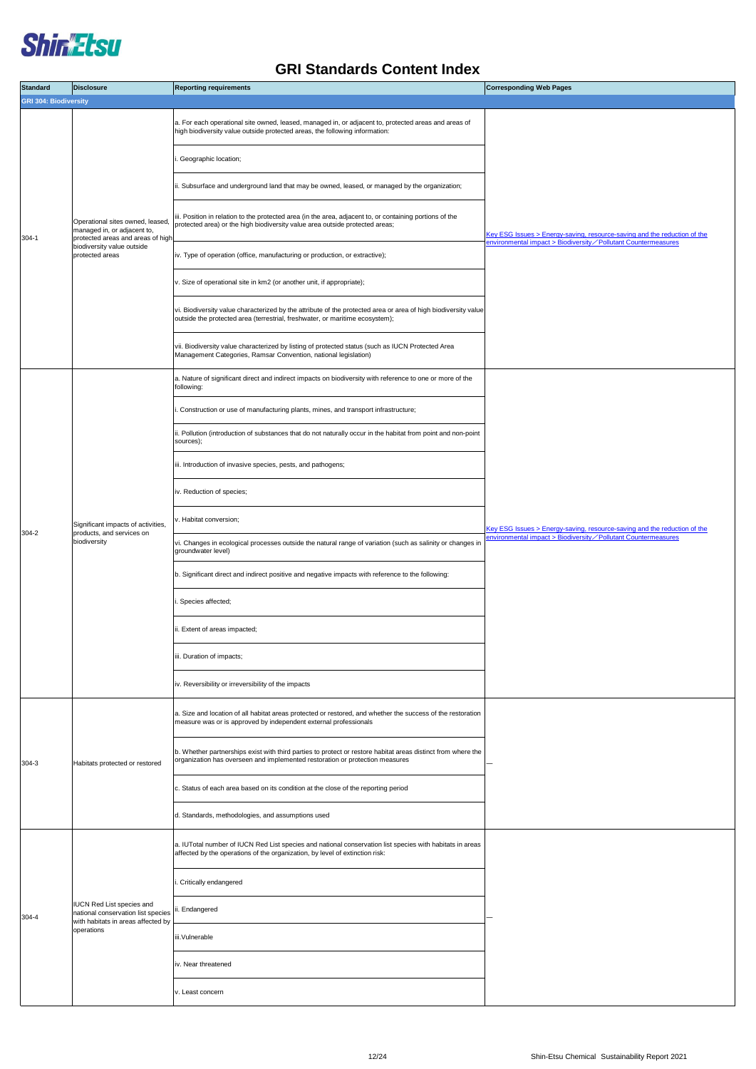

| <b>Standard</b>              | <b>Disclosure</b>                                                                                            | <b>Reporting requirements</b>                                                                                                                                                                  | <b>Corresponding Web Pages</b>                                                                                                              |
|------------------------------|--------------------------------------------------------------------------------------------------------------|------------------------------------------------------------------------------------------------------------------------------------------------------------------------------------------------|---------------------------------------------------------------------------------------------------------------------------------------------|
| <b>GRI 304: Biodiversity</b> |                                                                                                              |                                                                                                                                                                                                |                                                                                                                                             |
|                              |                                                                                                              | a. For each operational site owned, leased, managed in, or adjacent to, protected areas and areas of<br>high biodiversity value outside protected areas, the following information:            |                                                                                                                                             |
|                              | Operational sites owned, leased,<br>managed in, or adjacent to,<br>protected areas and areas of high         | Geographic location;                                                                                                                                                                           |                                                                                                                                             |
|                              |                                                                                                              | i. Subsurface and underground land that may be owned, leased, or managed by the organization;                                                                                                  |                                                                                                                                             |
| $304-1$                      |                                                                                                              | iii. Position in relation to the protected area (in the area, adjacent to, or containing portions of the<br>protected area) or the high biodiversity value area outside protected areas;       | Key ESG Issues > Energy-saving, resource-saving and the reduction of the<br>environmental impact > Biodiversity / Pollutant Countermeasures |
|                              | biodiversity value outside<br>protected areas                                                                | iv. Type of operation (office, manufacturing or production, or extractive);                                                                                                                    |                                                                                                                                             |
|                              |                                                                                                              | v. Size of operational site in km2 (or another unit, if appropriate);                                                                                                                          |                                                                                                                                             |
|                              |                                                                                                              | vi. Biodiversity value characterized by the attribute of the protected area or area of high biodiversity value<br>outside the protected area (terrestrial, freshwater, or maritime ecosystem); |                                                                                                                                             |
|                              |                                                                                                              | vii. Biodiversity value characterized by listing of protected status (such as IUCN Protected Area<br>Management Categories, Ramsar Convention, national legislation)                           |                                                                                                                                             |
|                              |                                                                                                              | a. Nature of significant direct and indirect impacts on biodiversity with reference to one or more of the<br>following:                                                                        |                                                                                                                                             |
|                              |                                                                                                              | . Construction or use of manufacturing plants, mines, and transport infrastructure;                                                                                                            |                                                                                                                                             |
|                              |                                                                                                              | . Pollution (introduction of substances that do not naturally occur in the habitat from point and non-point<br>sources);                                                                       |                                                                                                                                             |
|                              |                                                                                                              | iii. Introduction of invasive species, pests, and pathogens;                                                                                                                                   |                                                                                                                                             |
|                              | Significant impacts of activities,<br>products, and services on<br>biodiversity                              | iv. Reduction of species;                                                                                                                                                                      |                                                                                                                                             |
| $304 - 2$                    |                                                                                                              | v. Habitat conversion;                                                                                                                                                                         | Key ESG Issues > Energy-saving, resource-saving and the reduction of the<br>environmental impact > Biodiversity / Pollutant Countermeasures |
|                              |                                                                                                              | vi. Changes in ecological processes outside the natural range of variation (such as salinity or changes in<br>groundwater level)                                                               |                                                                                                                                             |
|                              |                                                                                                              | b. Significant direct and indirect positive and negative impacts with reference to the following:                                                                                              |                                                                                                                                             |
|                              |                                                                                                              | Species affected;                                                                                                                                                                              |                                                                                                                                             |
|                              |                                                                                                              | . Extent of areas impacted;                                                                                                                                                                    |                                                                                                                                             |
|                              |                                                                                                              | iii. Duration of impacts;                                                                                                                                                                      |                                                                                                                                             |
|                              |                                                                                                              | iv. Reversibility or irreversibility of the impacts                                                                                                                                            |                                                                                                                                             |
|                              |                                                                                                              | a. Size and location of all habitat areas protected or restored, and whether the success of the restoration<br>measure was or is approved by independent external professionals                |                                                                                                                                             |
| $304 - 3$                    | Habitats protected or restored                                                                               | b. Whether partnerships exist with third parties to protect or restore habitat areas distinct from where the<br>organization has overseen and implemented restoration or protection measures   |                                                                                                                                             |
|                              |                                                                                                              | c. Status of each area based on its condition at the close of the reporting period                                                                                                             |                                                                                                                                             |
|                              |                                                                                                              | d. Standards, methodologies, and assumptions used                                                                                                                                              |                                                                                                                                             |
|                              |                                                                                                              | a. IUTotal number of IUCN Red List species and national conservation list species with habitats in areas<br>affected by the operations of the organization, by level of extinction risk:       |                                                                                                                                             |
|                              |                                                                                                              | Critically endangered                                                                                                                                                                          |                                                                                                                                             |
| 304-4                        | <b>IUCN Red List species and</b><br>national conservation list species<br>with habitats in areas affected by | . Endangered                                                                                                                                                                                   |                                                                                                                                             |
|                              | operations                                                                                                   | iii.Vulnerable                                                                                                                                                                                 |                                                                                                                                             |
|                              |                                                                                                              | iv. Near threatened                                                                                                                                                                            |                                                                                                                                             |
|                              | v. Least concern                                                                                             |                                                                                                                                                                                                |                                                                                                                                             |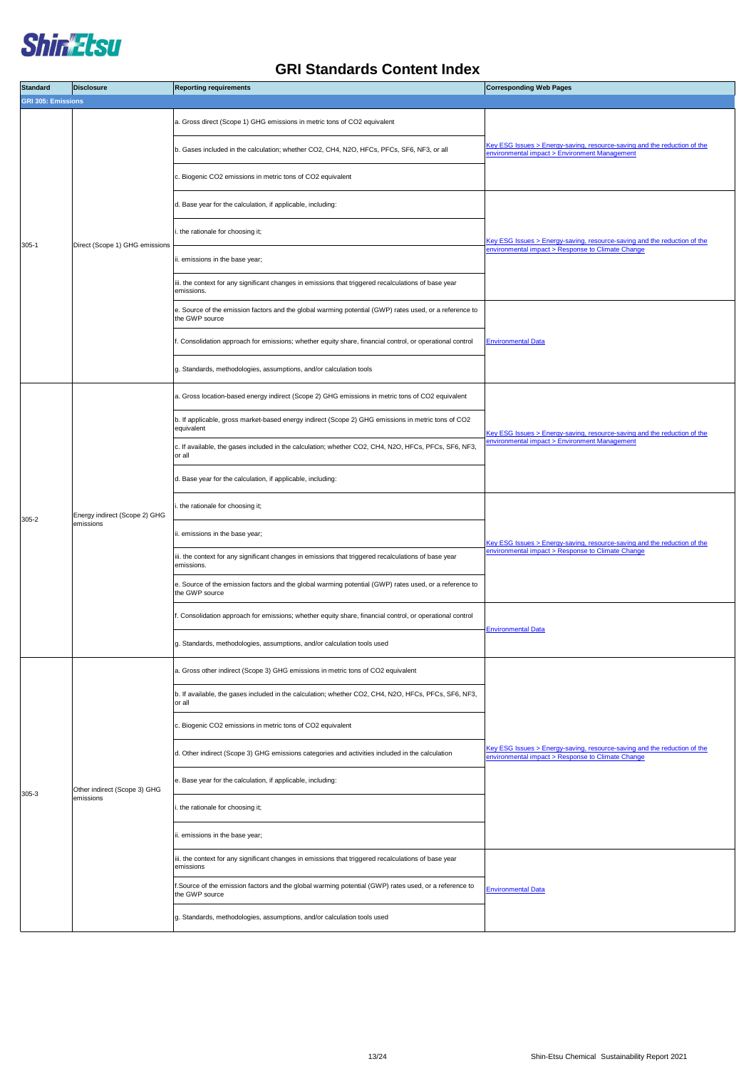

| <b>Standard</b>           | <b>Disclosure</b>                          | <b>Reporting requirements</b>                                                                                            | <b>Corresponding Web Pages</b>                                                                                                |
|---------------------------|--------------------------------------------|--------------------------------------------------------------------------------------------------------------------------|-------------------------------------------------------------------------------------------------------------------------------|
| <b>GRI 305: Emissions</b> |                                            |                                                                                                                          |                                                                                                                               |
|                           |                                            | a. Gross direct (Scope 1) GHG emissions in metric tons of CO2 equivalent                                                 |                                                                                                                               |
|                           |                                            | b. Gases included in the calculation; whether CO2, CH4, N2O, HFCs, PFCs, SF6, NF3, or all                                | Key ESG Issues > Energy-saving, resource-saving and the reduction of the<br>environmental impact > Environment Management     |
|                           |                                            | . Biogenic CO2 emissions in metric tons of CO2 equivalent                                                                |                                                                                                                               |
|                           |                                            | d. Base year for the calculation, if applicable, including:                                                              |                                                                                                                               |
| $305-1$                   | Direct (Scope 1) GHG emissions             | . the rationale for choosing it;                                                                                         | Key ESG Issues > Energy-saving, resource-saving and the reduction of the<br>environmental impact > Response to Climate Change |
|                           |                                            | i. emissions in the base year;                                                                                           |                                                                                                                               |
|                           |                                            | iii. the context for any significant changes in emissions that triggered recalculations of base year<br>emissions.       |                                                                                                                               |
|                           |                                            | e. Source of the emission factors and the global warming potential (GWP) rates used, or a reference to<br>the GWP source |                                                                                                                               |
|                           |                                            | Consolidation approach for emissions; whether equity share, financial control, or operational control                    | <b>Environmental Data</b>                                                                                                     |
|                           |                                            | g. Standards, methodologies, assumptions, and/or calculation tools                                                       |                                                                                                                               |
|                           |                                            | a. Gross location-based energy indirect (Scope 2) GHG emissions in metric tons of CO2 equivalent                         |                                                                                                                               |
|                           |                                            | b. If applicable, gross market-based energy indirect (Scope 2) GHG emissions in metric tons of CO2<br>equivalent         | Key ESG Issues > Energy-saving, resource-saving and the reduction of the                                                      |
|                           | Energy indirect (Scope 2) GHG<br>emissions | c. If available, the gases included in the calculation; whether CO2, CH4, N2O, HFCs, PFCs, SF6, NF3,<br>or all           | environmental impact > Environment Management                                                                                 |
|                           |                                            | d. Base year for the calculation, if applicable, including:                                                              |                                                                                                                               |
| 305-2                     |                                            | . the rationale for choosing it;                                                                                         |                                                                                                                               |
|                           |                                            | . emissions in the base year;                                                                                            | Key ESG Issues > Energy-saving, resource-saving and the reduction of the<br>environmental impact > Response to Climate Change |
|                           |                                            | iii. the context for any significant changes in emissions that triggered recalculations of base year<br>emissions.       |                                                                                                                               |
|                           |                                            | e. Source of the emission factors and the global warming potential (GWP) rates used, or a reference to<br>the GWP source |                                                                                                                               |
|                           |                                            | Consolidation approach for emissions; whether equity share, financial control, or operational control                    | <b>Environmental Data</b>                                                                                                     |
|                           |                                            | g. Standards, methodologies, assumptions, and/or calculation tools used                                                  |                                                                                                                               |
|                           |                                            | a. Gross other indirect (Scope 3) GHG emissions in metric tons of CO2 equivalent                                         |                                                                                                                               |
|                           |                                            | b. If available, the gases included in the calculation; whether CO2, CH4, N2O, HFCs, PFCs, SF6, NF3,<br>or all           |                                                                                                                               |
|                           |                                            | . Biogenic CO2 emissions in metric tons of CO2 equivalent                                                                |                                                                                                                               |
|                           |                                            | d. Other indirect (Scope 3) GHG emissions categories and activities included in the calculation                          | Key ESG Issues > Energy-saving, resource-saving and the reduction of the<br>environmental impact > Response to Climate Change |
| $305 - 3$                 | Other indirect (Scope 3) GHG               | e. Base year for the calculation, if applicable, including:                                                              |                                                                                                                               |
|                           | emissions                                  | . the rationale for choosing it;                                                                                         |                                                                                                                               |
|                           |                                            | . emissions in the base year;                                                                                            |                                                                                                                               |
|                           |                                            | iii. the context for any significant changes in emissions that triggered recalculations of base year<br>emissions        |                                                                                                                               |
|                           |                                            | f. Source of the emission factors and the global warming potential (GWP) rates used, or a reference to<br>the GWP source | <b>Environmental Data</b>                                                                                                     |
|                           |                                            | g. Standards, methodologies, assumptions, and/or calculation tools used                                                  |                                                                                                                               |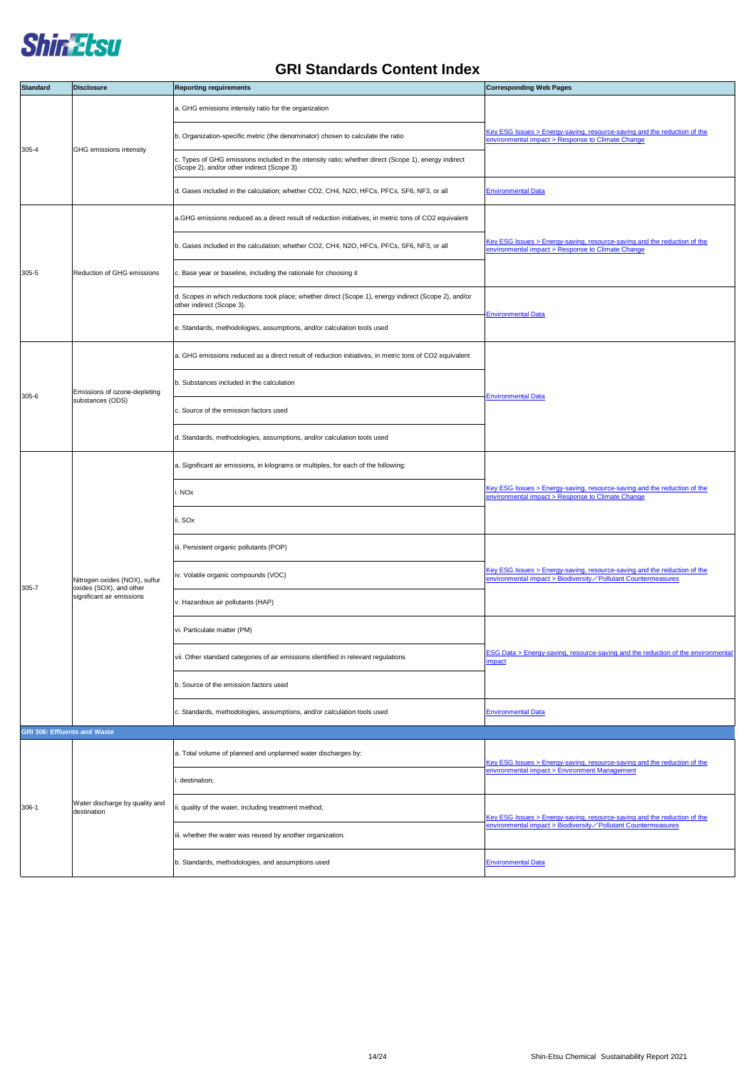

| <b>Standard</b>                     | <b>Disclosure</b>                                    | <b>Reporting requirements</b>                                                                                                                      | <b>Corresponding Web Pages</b>                                                                                                              |
|-------------------------------------|------------------------------------------------------|----------------------------------------------------------------------------------------------------------------------------------------------------|---------------------------------------------------------------------------------------------------------------------------------------------|
|                                     | GHG emissions intensity                              | a. GHG emissions intensity ratio for the organization                                                                                              |                                                                                                                                             |
| 305-4                               |                                                      | b. Organization-specific metric (the denominator) chosen to calculate the ratio                                                                    | Key ESG Issues > Energy-saving, resource-saving and the reduction of the<br>environmental impact > Response to Climate Change               |
|                                     |                                                      | c. Types of GHG emissions included in the intensity ratio; whether direct (Scope 1), energy indirect<br>(Scope 2), and/or other indirect (Scope 3) |                                                                                                                                             |
|                                     |                                                      | d. Gases included in the calculation; whether CO2, CH4, N2O, HFCs, PFCs, SF6, NF3, or all                                                          | <b>Environmental Data</b>                                                                                                                   |
|                                     |                                                      | a.GHG emissions reduced as a direct result of reduction initiatives, in metric tons of CO2 equivalent                                              |                                                                                                                                             |
|                                     |                                                      | b. Gases included in the calculation; whether CO2, CH4, N2O, HFCs, PFCs, SF6, NF3, or all                                                          | Key ESG Issues > Energy-saving, resource-saving and the reduction of the<br>environmental impact > Response to Climate Change               |
| 305-5                               | Reduction of GHG emissions                           | c. Base year or baseline, including the rationale for choosing it                                                                                  |                                                                                                                                             |
|                                     |                                                      | I. Scopes in which reductions took place; whether direct (Scope 1), energy indirect (Scope 2), and/or<br>other indirect (Scope 3).                 | <b>Environmental Data</b>                                                                                                                   |
|                                     |                                                      | e. Standards, methodologies, assumptions, and/or calculation tools used                                                                            |                                                                                                                                             |
|                                     |                                                      | a. GHG emissions reduced as a direct result of reduction initiatives, in metric tons of CO2 equivalent                                             |                                                                                                                                             |
| 305-6                               | Emissions of ozone-depleting                         | b. Substances included in the calculation                                                                                                          |                                                                                                                                             |
|                                     | substances (ODS)                                     | c. Source of the emission factors used                                                                                                             | <b>Environmental Data</b>                                                                                                                   |
|                                     |                                                      | d. Standards, methodologies, assumptions, and/or calculation tools used                                                                            |                                                                                                                                             |
|                                     | Nitrogen oxides (NOX), sulfur                        | a. Significant air emissions, in kilograms or multiples, for each of the following:                                                                |                                                                                                                                             |
|                                     |                                                      | . NOx                                                                                                                                              | Key ESG Issues > Energy-saving, resource-saving and the reduction of the<br>environmental impact > Response to Climate Change               |
|                                     |                                                      | ii. SOx                                                                                                                                            |                                                                                                                                             |
|                                     |                                                      | iii. Persistent organic pollutants (POP)                                                                                                           |                                                                                                                                             |
| 305-7                               |                                                      | iv. Volatile organic compounds (VOC)                                                                                                               | Key ESG Issues > Energy-saving, resource-saving and the reduction of the<br>environmental impact > Biodiversity / Pollutant Countermeasures |
|                                     | oxides (SOX), and other<br>significant air emissions | v. Hazardous air pollutants (HAP)                                                                                                                  |                                                                                                                                             |
|                                     |                                                      | vi. Particulate matter (PM)                                                                                                                        |                                                                                                                                             |
|                                     |                                                      | vii. Other standard categories of air emissions identified in relevant regulations                                                                 | ESG Data > Energy-saving, resource-saving and the reduction of the environmental<br><u>impact</u>                                           |
|                                     |                                                      | b. Source of the emission factors used                                                                                                             |                                                                                                                                             |
|                                     |                                                      | c. Standards, methodologies, assumptions, and/or calculation tools used                                                                            | <b>Environmental Data</b>                                                                                                                   |
| <b>GRI 306: Effluents and Waste</b> |                                                      |                                                                                                                                                    |                                                                                                                                             |
|                                     |                                                      | a. Total volume of planned and unplanned water discharges by:                                                                                      | Key ESG Issues > Energy-saving, resource-saving and the reduction of the                                                                    |
|                                     |                                                      | destination;                                                                                                                                       | environmental impact > Environment Management                                                                                               |
| 306-1                               | Water discharge by quality and<br>destination        | ii. quality of the water, including treatment method;                                                                                              | Key ESG Issues > Energy-saving, resource-saving and the reduction of the                                                                    |
|                                     |                                                      | iii. whether the water was reused by another organization.                                                                                         | environmental impact > Biodiversity / Pollutant Countermeasures                                                                             |
|                                     |                                                      | b. Standards, methodologies, and assumptions used                                                                                                  | <b>Environmental Data</b>                                                                                                                   |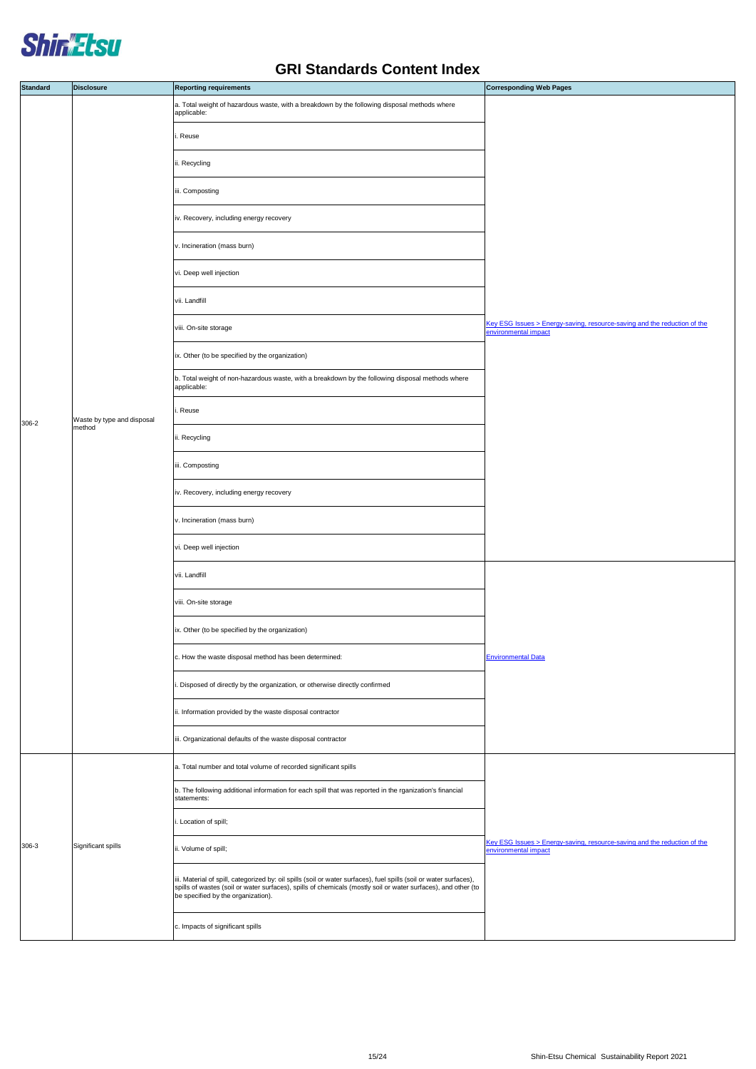# ShiriFisu

| <b>Standard</b> | <b>Disclosure</b>                    | <b>Reporting requirements</b>                                                                                   | <b>Corresponding Web Pages</b>                                                                   |
|-----------------|--------------------------------------|-----------------------------------------------------------------------------------------------------------------|--------------------------------------------------------------------------------------------------|
|                 |                                      | a. Total weight of hazardous waste, with a breakdown by the following disposal methods where<br>applicable:     |                                                                                                  |
|                 |                                      | Reuse                                                                                                           |                                                                                                  |
|                 |                                      | ii. Recycling                                                                                                   |                                                                                                  |
|                 |                                      | iii. Composting                                                                                                 |                                                                                                  |
|                 |                                      | iv. Recovery, including energy recovery                                                                         |                                                                                                  |
|                 |                                      | v. Incineration (mass burn)                                                                                     |                                                                                                  |
|                 |                                      | vi. Deep well injection                                                                                         |                                                                                                  |
|                 |                                      | vii. Landfill                                                                                                   | Key ESG Issues > Energy-saving, resource-saving and the reduction of the<br>environmental impact |
|                 | Waste by type and disposal<br>method | viii. On-site storage                                                                                           |                                                                                                  |
|                 |                                      | ix. Other (to be specified by the organization)                                                                 |                                                                                                  |
| 306-2           |                                      | b. Total weight of non-hazardous waste, with a breakdown by the following disposal methods where<br>applicable: |                                                                                                  |
|                 |                                      | . Reuse                                                                                                         |                                                                                                  |
|                 |                                      | ii. Recycling                                                                                                   |                                                                                                  |
|                 |                                      | iii. Composting                                                                                                 |                                                                                                  |
|                 |                                      | iv. Recovery, including energy recovery                                                                         |                                                                                                  |
|                 |                                      | v. Incineration (mass burn)                                                                                     |                                                                                                  |
|                 |                                      | vi. Deep well injection                                                                                         |                                                                                                  |
|                 |                                      | vii. Landfill                                                                                                   |                                                                                                  |
|                 |                                      | viii. On-site storage                                                                                           |                                                                                                  |

|       |                    | viii. On-site storage                                                                                                                                                                                                                                                     |                                                                                                  |
|-------|--------------------|---------------------------------------------------------------------------------------------------------------------------------------------------------------------------------------------------------------------------------------------------------------------------|--------------------------------------------------------------------------------------------------|
|       |                    | ix. Other (to be specified by the organization)                                                                                                                                                                                                                           |                                                                                                  |
|       |                    | c. How the waste disposal method has been determined:                                                                                                                                                                                                                     | <b>Environmental Data</b>                                                                        |
|       |                    | Disposed of directly by the organization, or otherwise directly confirmed                                                                                                                                                                                                 |                                                                                                  |
|       |                    | ii. Information provided by the waste disposal contractor                                                                                                                                                                                                                 |                                                                                                  |
|       |                    | iii. Organizational defaults of the waste disposal contractor                                                                                                                                                                                                             |                                                                                                  |
|       |                    | a. Total number and total volume of recorded significant spills                                                                                                                                                                                                           |                                                                                                  |
|       |                    | b. The following additional information for each spill that was reported in the rganization's financial<br>statements:                                                                                                                                                    |                                                                                                  |
|       |                    | Location of spill;                                                                                                                                                                                                                                                        |                                                                                                  |
| 306-3 | Significant spills | ii. Volume of spill;                                                                                                                                                                                                                                                      | Key ESG Issues > Energy-saving, resource-saving and the reduction of the<br>environmental impact |
|       |                    | iii. Material of spill, categorized by: oil spills (soil or water surfaces), fuel spills (soil or water surfaces),<br>spills of wastes (soil or water surfaces), spills of chemicals (mostly soil or water surfaces), and other (to<br>be specified by the organization). |                                                                                                  |
|       |                    | c. Impacts of significant spills                                                                                                                                                                                                                                          |                                                                                                  |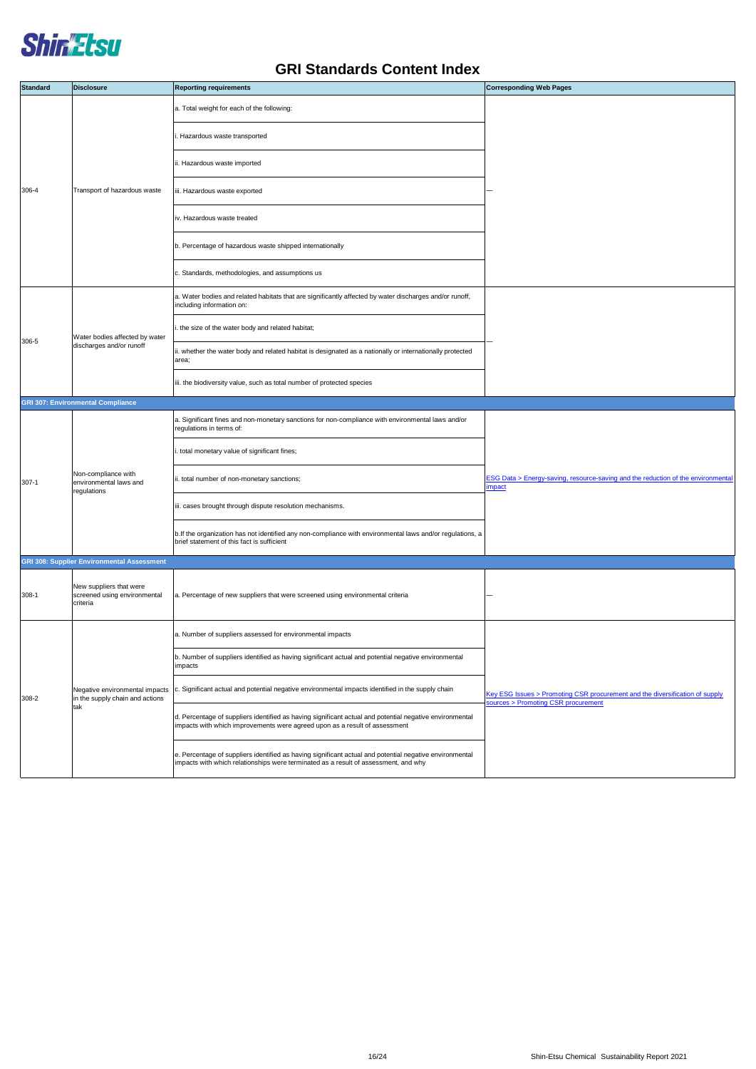

| <b>Standard</b>                                                                   | <b>Disclosure</b>                                                                                                                                                                              | <b>Reporting requirements</b>                                                                                                                                                         | <b>Corresponding Web Pages</b>                                                                                      |
|-----------------------------------------------------------------------------------|------------------------------------------------------------------------------------------------------------------------------------------------------------------------------------------------|---------------------------------------------------------------------------------------------------------------------------------------------------------------------------------------|---------------------------------------------------------------------------------------------------------------------|
|                                                                                   |                                                                                                                                                                                                | a. Total weight for each of the following:                                                                                                                                            |                                                                                                                     |
|                                                                                   |                                                                                                                                                                                                | Hazardous waste transported                                                                                                                                                           |                                                                                                                     |
|                                                                                   |                                                                                                                                                                                                | ii. Hazardous waste imported                                                                                                                                                          |                                                                                                                     |
| 306-4                                                                             | Transport of hazardous waste                                                                                                                                                                   | iii. Hazardous waste exported                                                                                                                                                         |                                                                                                                     |
|                                                                                   |                                                                                                                                                                                                | iv. Hazardous waste treated                                                                                                                                                           |                                                                                                                     |
|                                                                                   |                                                                                                                                                                                                | b. Percentage of hazardous waste shipped internationally                                                                                                                              |                                                                                                                     |
|                                                                                   |                                                                                                                                                                                                | c. Standards, methodologies, and assumptions us                                                                                                                                       |                                                                                                                     |
|                                                                                   |                                                                                                                                                                                                | a. Water bodies and related habitats that are significantly affected by water discharges and/or runoff,<br>including information on:                                                  |                                                                                                                     |
| 306-5                                                                             | Water bodies affected by water                                                                                                                                                                 | the size of the water body and related habitat;                                                                                                                                       |                                                                                                                     |
|                                                                                   | discharges and/or runoff                                                                                                                                                                       | ii. whether the water body and related habitat is designated as a nationally or internationally protected<br>area;                                                                    |                                                                                                                     |
|                                                                                   |                                                                                                                                                                                                | iii. the biodiversity value, such as total number of protected species                                                                                                                |                                                                                                                     |
|                                                                                   | <b>GRI 307: Environmental Compliance</b>                                                                                                                                                       |                                                                                                                                                                                       |                                                                                                                     |
|                                                                                   | Non-compliance with<br>environmental laws and<br>regulations                                                                                                                                   | a. Significant fines and non-monetary sanctions for non-compliance with environmental laws and/or<br>regulations in terms of:                                                         |                                                                                                                     |
|                                                                                   |                                                                                                                                                                                                | total monetary value of significant fines;                                                                                                                                            |                                                                                                                     |
| $307-1$                                                                           |                                                                                                                                                                                                | ii. total number of non-monetary sanctions;                                                                                                                                           | ESG Data > Energy-saving, resource-saving and the reduction of the environmental<br>impact                          |
|                                                                                   |                                                                                                                                                                                                | iii. cases brought through dispute resolution mechanisms.                                                                                                                             |                                                                                                                     |
|                                                                                   |                                                                                                                                                                                                | b.If the organization has not identified any non-compliance with environmental laws and/or regulations, a<br>brief statement of this fact is sufficient                               |                                                                                                                     |
|                                                                                   | <b>GRI 308: Supplier Environmental Assessment</b>                                                                                                                                              |                                                                                                                                                                                       |                                                                                                                     |
| 308-1                                                                             | New suppliers that were<br>screened using environmental<br>criteria                                                                                                                            | a. Percentage of new suppliers that were screened using environmental criteria                                                                                                        |                                                                                                                     |
|                                                                                   |                                                                                                                                                                                                | a. Number of suppliers assessed for environmental impacts                                                                                                                             |                                                                                                                     |
| Negative environmental impacts<br>in the supply chain and actions<br>308-2<br>tak |                                                                                                                                                                                                | b. Number of suppliers identified as having significant actual and potential negative environmental<br>impacts                                                                        |                                                                                                                     |
|                                                                                   |                                                                                                                                                                                                | c. Significant actual and potential negative environmental impacts identified in the supply chain                                                                                     | Key ESG Issues > Promoting CSR procurement and the diversification of supply<br>sources > Promoting CSR procurement |
|                                                                                   |                                                                                                                                                                                                | d. Percentage of suppliers identified as having significant actual and potential negative environmental<br>impacts with which improvements were agreed upon as a result of assessment |                                                                                                                     |
|                                                                                   | e. Percentage of suppliers identified as having significant actual and potential negative environmental<br>impacts with which relationships were terminated as a result of assessment, and why |                                                                                                                                                                                       |                                                                                                                     |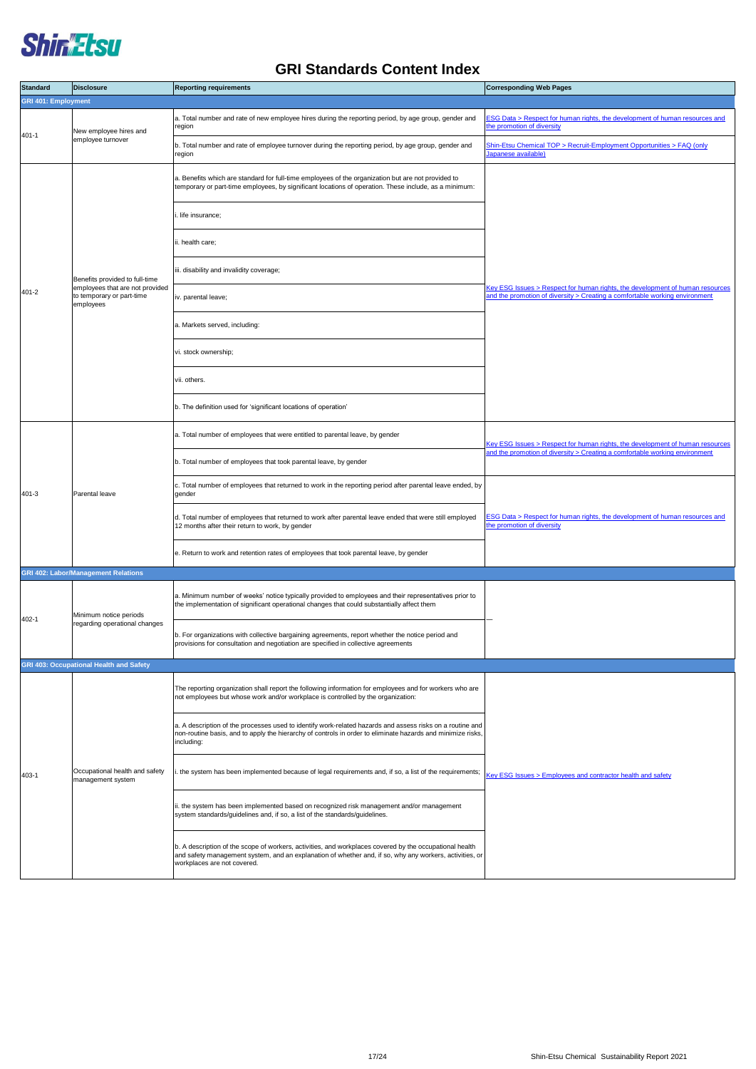| <b>Standard</b>            | <b>Disclosure</b>                                                         | <b>Reporting requirements</b>                                                                                                                                                                                                                     | <b>Corresponding Web Pages</b>                                                                                                                               |
|----------------------------|---------------------------------------------------------------------------|---------------------------------------------------------------------------------------------------------------------------------------------------------------------------------------------------------------------------------------------------|--------------------------------------------------------------------------------------------------------------------------------------------------------------|
| <b>GRI 401: Employment</b> |                                                                           |                                                                                                                                                                                                                                                   |                                                                                                                                                              |
| 401-1                      | New employee hires and                                                    | a. Total number and rate of new employee hires during the reporting period, by age group, gender and<br>region                                                                                                                                    | ESG Data > Respect for human rights, the development of human resources and<br>the promotion of diversity                                                    |
|                            | employee turnover                                                         | b. Total number and rate of employee turnover during the reporting period, by age group, gender and<br>region                                                                                                                                     | Shin-Etsu Chemical TOP > Recruit-Employment Opportunities > FAQ (only<br>Japanese available)                                                                 |
|                            |                                                                           | a. Benefits which are standard for full-time employees of the organization but are not provided to<br>temporary or part-time employees, by significant locations of operation. These include, as a minimum:                                       |                                                                                                                                                              |
|                            |                                                                           | . life insurance;                                                                                                                                                                                                                                 |                                                                                                                                                              |
|                            |                                                                           | ii. health care;                                                                                                                                                                                                                                  |                                                                                                                                                              |
|                            | Benefits provided to full-time                                            | iii. disability and invalidity coverage;                                                                                                                                                                                                          |                                                                                                                                                              |
| 401-2                      | employees that are not provided<br>to temporary or part-time<br>employees | iv. parental leave;                                                                                                                                                                                                                               | Key ESG Issues > Respect for human rights, the development of human resources<br>and the promotion of diversity > Creating a comfortable working environment |
|                            |                                                                           | a. Markets served, including:                                                                                                                                                                                                                     |                                                                                                                                                              |
|                            |                                                                           | vi. stock ownership;                                                                                                                                                                                                                              |                                                                                                                                                              |
|                            |                                                                           | vii. others.                                                                                                                                                                                                                                      |                                                                                                                                                              |
|                            |                                                                           | b. The definition used for 'significant locations of operation'                                                                                                                                                                                   |                                                                                                                                                              |
|                            | Parental leave                                                            | a. Total number of employees that were entitled to parental leave, by gender                                                                                                                                                                      | Key ESG Issues > Respect for human rights, the development of human resources                                                                                |
|                            |                                                                           | b. Total number of employees that took parental leave, by gender                                                                                                                                                                                  | and the promotion of diversity > Creating a comfortable working environment                                                                                  |
| 401-3                      |                                                                           | c. Total number of employees that returned to work in the reporting period after parental leave ended, by<br>gender                                                                                                                               |                                                                                                                                                              |
|                            |                                                                           | d. Total number of employees that returned to work after parental leave ended that were still employed<br>12 months after their return to work, by gender                                                                                         | ESG Data > Respect for human rights, the development of human resources and<br>the promotion of diversity                                                    |
|                            |                                                                           | e. Return to work and retention rates of employees that took parental leave, by gender                                                                                                                                                            |                                                                                                                                                              |
|                            | <b>GRI 402: Labor/Management Relations</b>                                |                                                                                                                                                                                                                                                   |                                                                                                                                                              |
|                            | Minimum notice periods<br>regarding operational changes                   | a. Minimum number of weeks' notice typically provided to employees and their representatives prior to<br>the implementation of significant operational changes that could substantially affect them                                               |                                                                                                                                                              |
| 402-1                      |                                                                           | b. For organizations with collective bargaining agreements, report whether the notice period and<br>provisions for consultation and negotiation are specified in collective agreements                                                            |                                                                                                                                                              |
|                            | <b>GRI 403: Occupational Health and Safety</b>                            |                                                                                                                                                                                                                                                   |                                                                                                                                                              |
|                            |                                                                           | The reporting organization shall report the following information for employees and for workers who are<br>not employees but whose work and/or workplace is controlled by the organization:                                                       |                                                                                                                                                              |
|                            |                                                                           | a. A description of the processes used to identify work-related hazards and assess risks on a routine and<br>non-routine basis, and to apply the hierarchy of controls in order to eliminate hazards and minimize risks,<br>including:            |                                                                                                                                                              |
| 403-1                      | Occupational health and safety<br>management system                       | the system has been implemented because of legal requirements and, if so, a list of the requirements;                                                                                                                                             | Key ESG Issues > Employees and contractor health and safety                                                                                                  |
|                            |                                                                           | ii. the system has been implemented based on recognized risk management and/or management<br>system standards/guidelines and, if so, a list of the standards/guidelines.                                                                          |                                                                                                                                                              |
|                            |                                                                           | b. A description of the scope of workers, activities, and workplaces covered by the occupational health<br>and safety management system, and an explanation of whether and, if so, why any workers, activities, or<br>workplaces are not covered. |                                                                                                                                                              |
|                            |                                                                           |                                                                                                                                                                                                                                                   |                                                                                                                                                              |

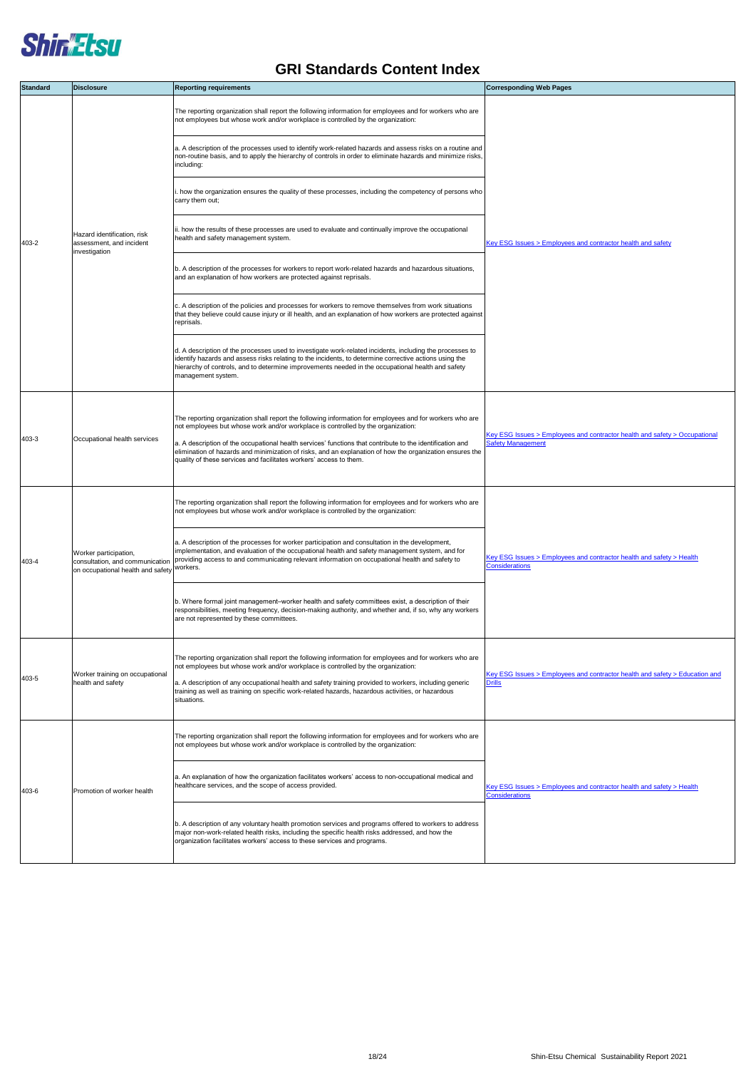

| <b>Standard</b> | <b>Disclosure</b>                                                                             | <b>Reporting requirements</b>                                                                                                                                                                                                                                                                                                                | <b>Corresponding Web Pages</b>                                                                         |
|-----------------|-----------------------------------------------------------------------------------------------|----------------------------------------------------------------------------------------------------------------------------------------------------------------------------------------------------------------------------------------------------------------------------------------------------------------------------------------------|--------------------------------------------------------------------------------------------------------|
|                 |                                                                                               | The reporting organization shall report the following information for employees and for workers who are<br>not employees but whose work and/or workplace is controlled by the organization:                                                                                                                                                  |                                                                                                        |
|                 |                                                                                               | a. A description of the processes used to identify work-related hazards and assess risks on a routine and<br>non-routine basis, and to apply the hierarchy of controls in order to eliminate hazards and minimize risks,<br>ncluding:                                                                                                        |                                                                                                        |
|                 |                                                                                               | how the organization ensures the quality of these processes, including the competency of persons who<br>carry them out;                                                                                                                                                                                                                      |                                                                                                        |
| 403-2           | Hazard identification, risk<br>assessment, and incident<br>investigation                      | . how the results of these processes are used to evaluate and continually improve the occupational<br>health and safety management system.                                                                                                                                                                                                   | Key ESG Issues > Employees and contractor health and safety                                            |
|                 |                                                                                               | . A description of the processes for workers to report work-related hazards and hazardous situations,<br>and an explanation of how workers are protected against reprisals.                                                                                                                                                                  |                                                                                                        |
|                 |                                                                                               | c. A description of the policies and processes for workers to remove themselves from work situations<br>that they believe could cause injury or ill health, and an explanation of how workers are protected against<br>reprisals.                                                                                                            |                                                                                                        |
|                 |                                                                                               | d. A description of the processes used to investigate work-related incidents, including the processes to<br>dentify hazards and assess risks relating to the incidents, to determine corrective actions using the<br>nierarchy of controls, and to determine improvements needed in the occupational health and safety<br>management system. |                                                                                                        |
|                 | Occupational health services                                                                  | The reporting organization shall report the following information for employees and for workers who are<br>not employees but whose work and/or workplace is controlled by the organization:                                                                                                                                                  |                                                                                                        |
| 403-3           |                                                                                               | a. A description of the occupational health services' functions that contribute to the identification and<br>elimination of hazards and minimization of risks, and an explanation of how the organization ensures the<br>quality of these services and facilitates workers' access to them.                                                  | Key ESG Issues > Employees and contractor health and safety > Occupational<br><b>Safety Management</b> |
|                 |                                                                                               | The reporting organization shall report the following information for employees and for workers who are<br>not employees but whose work and/or workplace is controlled by the organization:                                                                                                                                                  |                                                                                                        |
| 403-4           | Worker participation,<br>consultation, and communication<br>on occupational health and safety | a. A description of the processes for worker participation and consultation in the development,<br>mplementation, and evaluation of the occupational health and safety management system, and for<br>providing access to and communicating relevant information on occupational health and safety to<br>workers.                             | Key ESG Issues > Employees and contractor health and safety > Health<br>Considerations                 |
|                 |                                                                                               | o. Where formal joint management–worker health and safety committees exist, a description of their<br>responsibilities, meeting frequency, decision-making authority, and whether and, if so, why any workers<br>are not represented by these committees.                                                                                    |                                                                                                        |
| 403-5           | Worker training on occupational                                                               | The reporting organization shall report the following information for employees and for workers who are<br>not employees but whose work and/or workplace is controlled by the organization:                                                                                                                                                  | Key ESG Issues > Employees and contractor health and safety > Education and                            |
|                 | health and safety                                                                             | a. A description of any occupational health and safety training provided to workers, including generic<br>training as well as training on specific work-related hazards, hazardous activities, or hazardous<br>situations.                                                                                                                   | <b>Drills</b>                                                                                          |
|                 |                                                                                               | The reporting organization shall report the following information for employees and for workers who are<br>not employees but whose work and/or workplace is controlled by the organization:                                                                                                                                                  |                                                                                                        |
| 403-6           | Promotion of worker health                                                                    | a. An explanation of how the organization facilitates workers' access to non-occupational medical and<br>healthcare services, and the scope of access provided.                                                                                                                                                                              | Key ESG Issues > Employees and contractor health and safety > Health<br><b>Considerations</b>          |
|                 |                                                                                               | o. A description of any voluntary health promotion services and programs offered to workers to address<br>major non-work-related health risks, including the specific health risks addressed, and how the<br>organization facilitates workers' access to these services and programs.                                                        |                                                                                                        |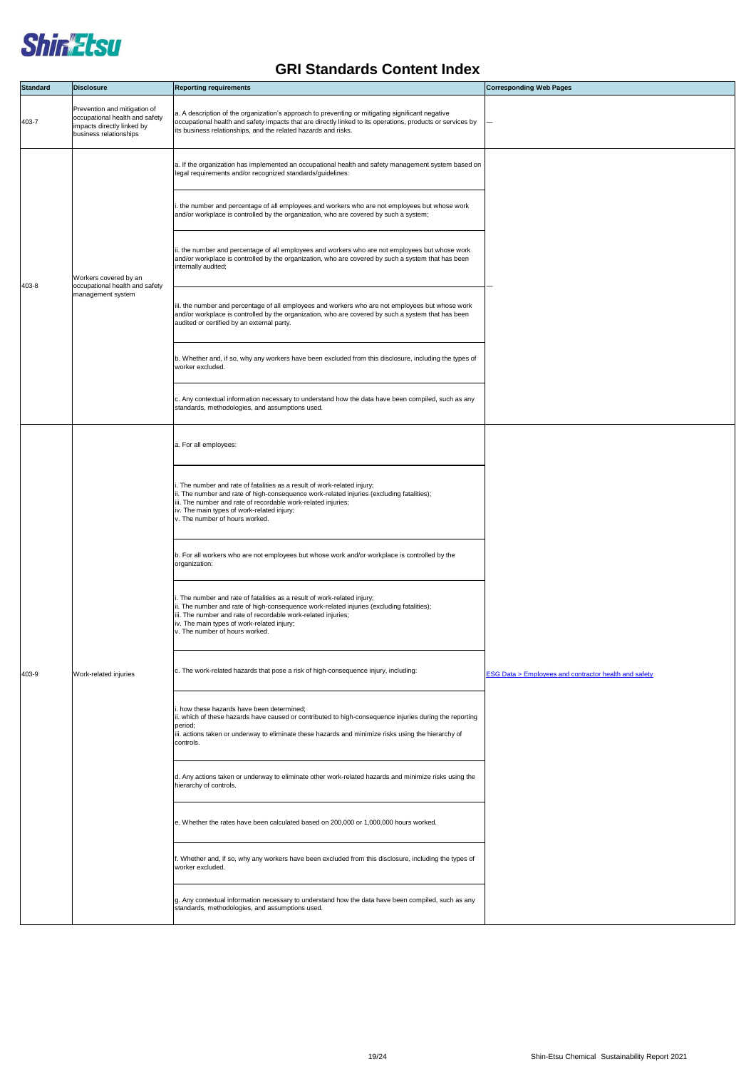

| <b>Standard</b> | <b>Disclosure</b>                                                                                                      | <b>Reporting requirements</b>                                                                                                                                                                                                                                                                                         | <b>Corresponding Web Pages</b>                                  |
|-----------------|------------------------------------------------------------------------------------------------------------------------|-----------------------------------------------------------------------------------------------------------------------------------------------------------------------------------------------------------------------------------------------------------------------------------------------------------------------|-----------------------------------------------------------------|
| 403-7           | Prevention and mitigation of<br>occupational health and safety<br>impacts directly linked by<br>business relationships | a. A description of the organization's approach to preventing or mitigating significant negative<br>occupational health and safety impacts that are directly linked to its operations, products or services by<br>its business relationships, and the related hazards and risks.                                      |                                                                 |
|                 |                                                                                                                        | a. If the organization has implemented an occupational health and safety management system based on<br>legal requirements and/or recognized standards/guidelines:                                                                                                                                                     |                                                                 |
|                 |                                                                                                                        | the number and percentage of all employees and workers who are not employees but whose work<br>and/or workplace is controlled by the organization, who are covered by such a system;                                                                                                                                  |                                                                 |
|                 | Workers covered by an                                                                                                  | ii. the number and percentage of all employees and workers who are not employees but whose work<br>and/or workplace is controlled by the organization, who are covered by such a system that has been<br>internally audited;                                                                                          |                                                                 |
| 403-8           | occupational health and safety<br>management system                                                                    | iii. the number and percentage of all employees and workers who are not employees but whose work<br>and/or workplace is controlled by the organization, who are covered by such a system that has been<br>audited or certified by an external party.                                                                  |                                                                 |
|                 |                                                                                                                        | b. Whether and, if so, why any workers have been excluded from this disclosure, including the types of<br>worker excluded.                                                                                                                                                                                            |                                                                 |
|                 |                                                                                                                        | c. Any contextual information necessary to understand how the data have been compiled, such as any<br>standards, methodologies, and assumptions used.                                                                                                                                                                 |                                                                 |
|                 |                                                                                                                        | a. For all employees:                                                                                                                                                                                                                                                                                                 |                                                                 |
|                 | Work-related injuries                                                                                                  | . The number and rate of fatalities as a result of work-related injury;<br>ii. The number and rate of high-consequence work-related injuries (excluding fatalities);<br>iii. The number and rate of recordable work-related injuries;<br>iv. The main types of work-related injury;<br>v. The number of hours worked. |                                                                 |
|                 |                                                                                                                        | b. For all workers who are not employees but whose work and/or workplace is controlled by the<br>organization:                                                                                                                                                                                                        |                                                                 |
|                 |                                                                                                                        | . The number and rate of fatalities as a result of work-related injury;<br>ii. The number and rate of high-consequence work-related injuries (excluding fatalities);<br>iii. The number and rate of recordable work-related injuries;<br>iv. The main types of work-related injury;<br>v. The number of hours worked. |                                                                 |
| 403-9           |                                                                                                                        | c. The work-related hazards that pose a risk of high-consequence injury, including:                                                                                                                                                                                                                                   | <b>ESG Data &gt; Employees and contractor health and safety</b> |
|                 |                                                                                                                        | . how these hazards have been determined;<br>ii. which of these hazards have caused or contributed to high-consequence injuries during the reporting<br>period;<br>iii. actions taken or underway to eliminate these hazards and minimize risks using the hierarchy of<br>controls.                                   |                                                                 |
|                 |                                                                                                                        | d. Any actions taken or underway to eliminate other work-related hazards and minimize risks using the<br>hierarchy of controls.                                                                                                                                                                                       |                                                                 |
|                 |                                                                                                                        | e. Whether the rates have been calculated based on 200,000 or 1,000,000 hours worked.                                                                                                                                                                                                                                 |                                                                 |
|                 |                                                                                                                        | . Whether and, if so, why any workers have been excluded from this disclosure, including the types of<br>worker excluded.                                                                                                                                                                                             |                                                                 |
|                 |                                                                                                                        | g. Any contextual information necessary to understand how the data have been compiled, such as any<br>standards, methodologies, and assumptions used.                                                                                                                                                                 |                                                                 |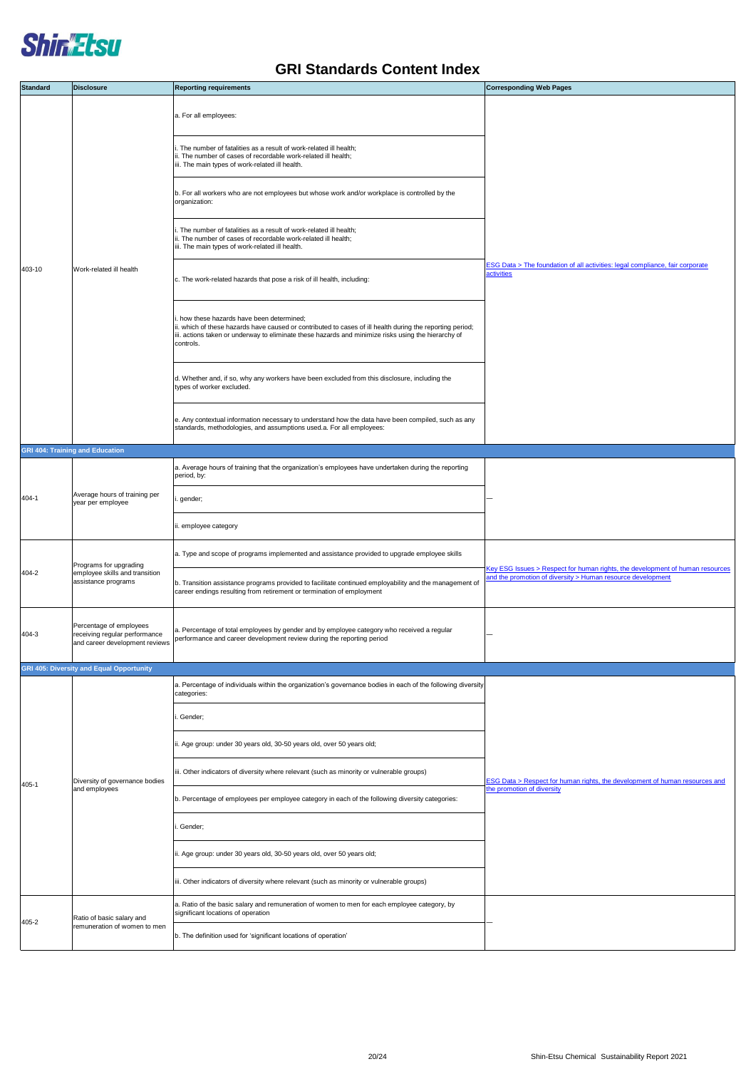

| <b>Standard</b> | Disclosure                                                                                 | <b>Reporting requirements</b>                                                                                                                                                                                                                                            | <b>Corresponding Web Pages</b>                                                                            |
|-----------------|--------------------------------------------------------------------------------------------|--------------------------------------------------------------------------------------------------------------------------------------------------------------------------------------------------------------------------------------------------------------------------|-----------------------------------------------------------------------------------------------------------|
|                 |                                                                                            | a. For all employees:                                                                                                                                                                                                                                                    |                                                                                                           |
|                 |                                                                                            | The number of fatalities as a result of work-related ill health;<br>i. The number of cases of recordable work-related ill health;<br>iii. The main types of work-related ill health.                                                                                     |                                                                                                           |
|                 |                                                                                            | b. For all workers who are not employees but whose work and/or workplace is controlled by the<br>organization:                                                                                                                                                           |                                                                                                           |
|                 |                                                                                            | . The number of fatalities as a result of work-related ill health;<br>i. The number of cases of recordable work-related ill health;<br>iii. The main types of work-related ill health.                                                                                   |                                                                                                           |
| 403-10          | Work-related ill health                                                                    | c. The work-related hazards that pose a risk of ill health, including:                                                                                                                                                                                                   | ESG Data > The foundation of all activities: legal compliance, fair corporate<br>activities               |
|                 |                                                                                            | . how these hazards have been determined;<br>. which of these hazards have caused or contributed to cases of ill health during the reporting period;<br>iii. actions taken or underway to eliminate these hazards and minimize risks using the hierarchy of<br>controls. |                                                                                                           |
|                 |                                                                                            | d. Whether and, if so, why any workers have been excluded from this disclosure, including the<br>types of worker excluded.                                                                                                                                               |                                                                                                           |
|                 |                                                                                            | e. Any contextual information necessary to understand how the data have been compiled, such as any<br>standards, methodologies, and assumptions used.a. For all employees:                                                                                               |                                                                                                           |
|                 | <b>GRI 404: Training and Education</b>                                                     |                                                                                                                                                                                                                                                                          |                                                                                                           |
|                 |                                                                                            | a. Average hours of training that the organization's employees have undertaken during the reporting<br>period, by:                                                                                                                                                       |                                                                                                           |
| 404-1           | Average hours of training per<br>year per employee                                         | i. gender;                                                                                                                                                                                                                                                               |                                                                                                           |
|                 |                                                                                            | . employee category                                                                                                                                                                                                                                                      |                                                                                                           |
| 404-2           | Programs for upgrading<br>employee skills and transition                                   | a. Type and scope of programs implemented and assistance provided to upgrade employee skills                                                                                                                                                                             | Key ESG Issues > Respect for human rights, the development of human resources                             |
|                 | assistance programs                                                                        | b. Transition assistance programs provided to facilitate continued employability and the management of<br>career endings resulting from retirement or termination of employment                                                                                          | and the promotion of diversity > Human resource development                                               |
| 404-3           | Percentage of employees<br>receiving regular performance<br>and career development reviews | a. Percentage of total employees by gender and by employee category who received a regular<br>performance and career development review during the reporting period                                                                                                      |                                                                                                           |
|                 | <b>GRI 405: Diversity and Equal Opportunity</b>                                            |                                                                                                                                                                                                                                                                          |                                                                                                           |
|                 |                                                                                            | a. Percentage of individuals within the organization's governance bodies in each of the following diversity<br>categories:                                                                                                                                               |                                                                                                           |
|                 |                                                                                            | . Gender;                                                                                                                                                                                                                                                                |                                                                                                           |
|                 |                                                                                            | i. Age group: under 30 years old, 30-50 years old, over 50 years old;                                                                                                                                                                                                    |                                                                                                           |
| 405-1           | Diversity of governance bodies<br>and employees                                            | iii. Other indicators of diversity where relevant (such as minority or vulnerable groups)                                                                                                                                                                                | ESG Data > Respect for human rights, the development of human resources and<br>the promotion of diversity |
|                 |                                                                                            | b. Percentage of employees per employee category in each of the following diversity categories:                                                                                                                                                                          |                                                                                                           |
|                 |                                                                                            | Gender;                                                                                                                                                                                                                                                                  |                                                                                                           |
|                 |                                                                                            | i. Age group: under 30 years old, 30-50 years old, over 50 years old;                                                                                                                                                                                                    |                                                                                                           |
|                 |                                                                                            | iii. Other indicators of diversity where relevant (such as minority or vulnerable groups)                                                                                                                                                                                |                                                                                                           |
| 405-2           | Ratio of basic salary and                                                                  | a. Ratio of the basic salary and remuneration of women to men for each employee category, by<br>significant locations of operation                                                                                                                                       |                                                                                                           |
|                 | remuneration of women to men                                                               | b. The definition used for 'significant locations of operation'                                                                                                                                                                                                          |                                                                                                           |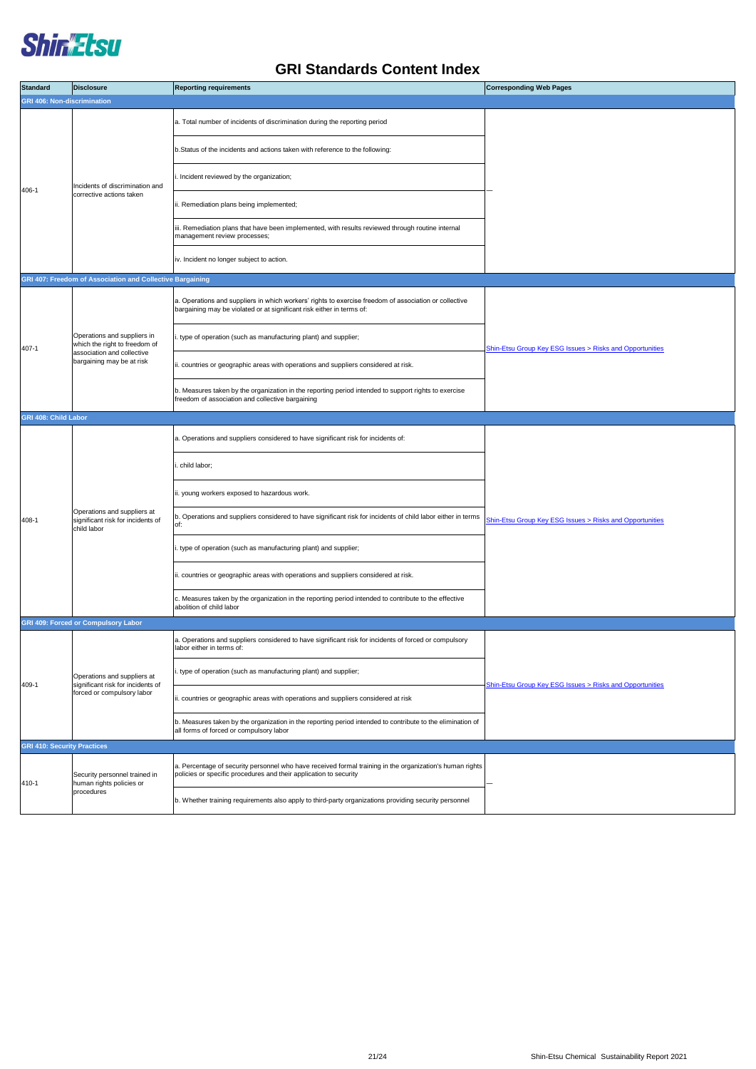

| <b>Standard</b>                    | <b>Disclosure</b>                                                                                                       | <b>Reporting requirements</b>                                                                                                                                                  | <b>Corresponding Web Pages</b>                                     |
|------------------------------------|-------------------------------------------------------------------------------------------------------------------------|--------------------------------------------------------------------------------------------------------------------------------------------------------------------------------|--------------------------------------------------------------------|
| <b>GRI 406: Non-discrimination</b> |                                                                                                                         |                                                                                                                                                                                |                                                                    |
|                                    |                                                                                                                         | a. Total number of incidents of discrimination during the reporting period                                                                                                     |                                                                    |
|                                    |                                                                                                                         | .Status of the incidents and actions taken with reference to the following:                                                                                                    |                                                                    |
|                                    | Incidents of discrimination and                                                                                         | Incident reviewed by the organization;                                                                                                                                         |                                                                    |
| 406-1                              | corrective actions taken                                                                                                | Remediation plans being implemented;                                                                                                                                           |                                                                    |
|                                    |                                                                                                                         | . Remediation plans that have been implemented, with results reviewed through routine internal<br>management review processes;                                                 |                                                                    |
|                                    |                                                                                                                         | v. Incident no longer subject to action.                                                                                                                                       |                                                                    |
|                                    | GRI 407: Freedom of Association and Collective Bargaining                                                               |                                                                                                                                                                                |                                                                    |
|                                    | Operations and suppliers in<br>which the right to freedom of<br>association and collective<br>bargaining may be at risk | a. Operations and suppliers in which workers' rights to exercise freedom of association or collective<br>bargaining may be violated or at significant risk either in terms of: |                                                                    |
| 407-1                              |                                                                                                                         | type of operation (such as manufacturing plant) and supplier;                                                                                                                  | <b>Shin-Etsu Group Key ESG Issues &gt; Risks and Opportunities</b> |
|                                    |                                                                                                                         | . countries or geographic areas with operations and suppliers considered at risk.                                                                                              |                                                                    |
|                                    |                                                                                                                         | . Measures taken by the organization in the reporting period intended to support rights to exercise<br>freedom of association and collective bargaining                        |                                                                    |
| <b>GRI 408: Child Labor</b>        |                                                                                                                         |                                                                                                                                                                                |                                                                    |
|                                    |                                                                                                                         | a. Operations and suppliers considered to have significant risk for incidents of:                                                                                              |                                                                    |
|                                    |                                                                                                                         | child labor;                                                                                                                                                                   |                                                                    |
| 408-1                              |                                                                                                                         | . young workers exposed to hazardous work.                                                                                                                                     |                                                                    |
|                                    | Operations and suppliers at<br>significant risk for incidents of<br>child labor                                         | b. Operations and suppliers considered to have significant risk for incidents of child labor either in terms<br>of:                                                            | Shin-Etsu Group Key ESG Issues > Risks and Opportunities           |
|                                    |                                                                                                                         | type of operation (such as manufacturing plant) and supplier;                                                                                                                  |                                                                    |
|                                    |                                                                                                                         | countries or geographic areas with operations and suppliers considered at risk.                                                                                                |                                                                    |
|                                    |                                                                                                                         | c. Measures taken by the organization in the reporting period intended to contribute to the effective                                                                          |                                                                    |

|                                            |                                                                                                | abolition of child labor                                                                                                                                                      |                                                                    |  |  |  |  |
|--------------------------------------------|------------------------------------------------------------------------------------------------|-------------------------------------------------------------------------------------------------------------------------------------------------------------------------------|--------------------------------------------------------------------|--|--|--|--|
| <b>GRI 409: Forced or Compulsory Labor</b> |                                                                                                |                                                                                                                                                                               |                                                                    |  |  |  |  |
| 409-1                                      | Operations and suppliers at<br>significant risk for incidents of<br>forced or compulsory labor | a. Operations and suppliers considered to have significant risk for incidents of forced or compulsory<br>labor either in terms of:                                            | <b>Shin-Etsu Group Key ESG Issues &gt; Risks and Opportunities</b> |  |  |  |  |
|                                            |                                                                                                | type of operation (such as manufacturing plant) and supplier;                                                                                                                 |                                                                    |  |  |  |  |
|                                            |                                                                                                | ii. countries or geographic areas with operations and suppliers considered at risk                                                                                            |                                                                    |  |  |  |  |
|                                            |                                                                                                | . Measures taken by the organization in the reporting period intended to contribute to the elimination of<br>all forms of forced or compulsory labor                          |                                                                    |  |  |  |  |
| <b>GRI 410: Security Practices</b>         |                                                                                                |                                                                                                                                                                               |                                                                    |  |  |  |  |
| 410-1                                      | Security personnel trained in<br>human rights policies or<br>procedures                        | a. Percentage of security personnel who have received formal training in the organization's human rights<br>policies or specific procedures and their application to security |                                                                    |  |  |  |  |
|                                            |                                                                                                | b. Whether training requirements also apply to third-party organizations providing security personnel                                                                         |                                                                    |  |  |  |  |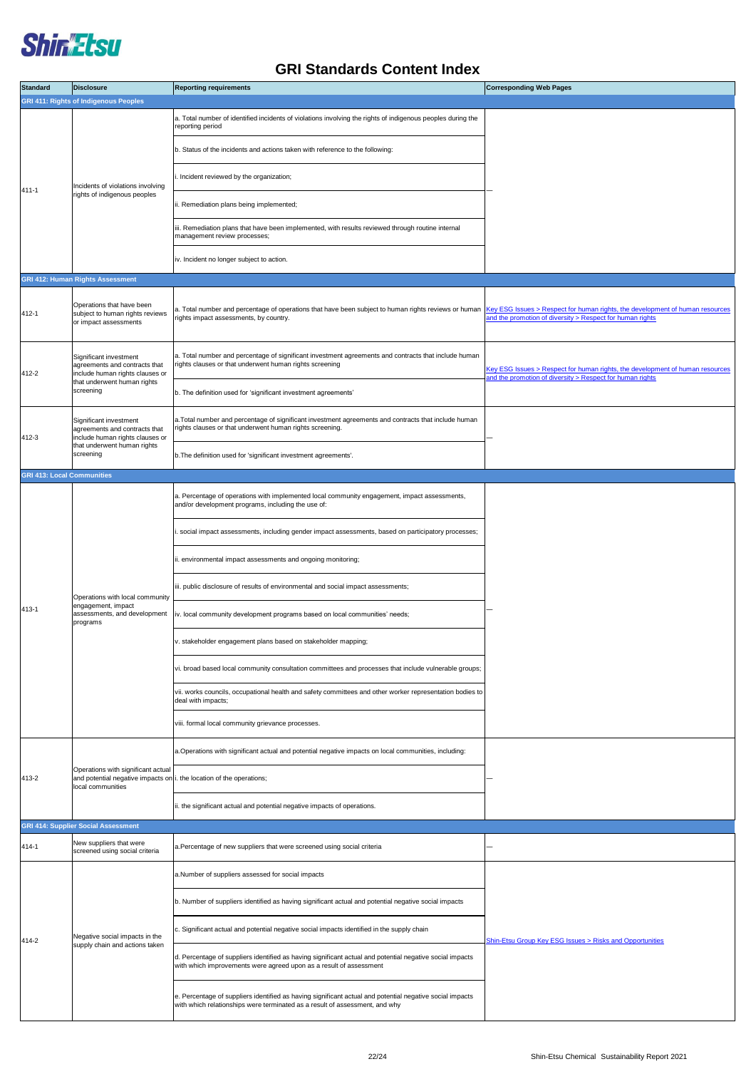

| <b>Standard</b>                   | <b>Disclosure</b>                                                                               | <b>Reporting requirements</b>                                                                                                                                                                                                  | <b>Corresponding Web Pages</b>                                                                                                             |
|-----------------------------------|-------------------------------------------------------------------------------------------------|--------------------------------------------------------------------------------------------------------------------------------------------------------------------------------------------------------------------------------|--------------------------------------------------------------------------------------------------------------------------------------------|
|                                   | <b>GRI 411: Rights of Indigenous Peoples</b>                                                    |                                                                                                                                                                                                                                |                                                                                                                                            |
| 411-1                             | Incidents of violations involving<br>rights of indigenous peoples                               | a. Total number of identified incidents of violations involving the rights of indigenous peoples during the<br>reporting period                                                                                                |                                                                                                                                            |
|                                   |                                                                                                 | b. Status of the incidents and actions taken with reference to the following:                                                                                                                                                  |                                                                                                                                            |
|                                   |                                                                                                 | Incident reviewed by the organization;                                                                                                                                                                                         |                                                                                                                                            |
|                                   |                                                                                                 | Remediation plans being implemented;                                                                                                                                                                                           |                                                                                                                                            |
|                                   |                                                                                                 | ii. Remediation plans that have been implemented, with results reviewed through routine internal<br>management review processes;                                                                                               |                                                                                                                                            |
|                                   |                                                                                                 | iv. Incident no longer subject to action.                                                                                                                                                                                      |                                                                                                                                            |
|                                   | <b>GRI 412: Human Rights Assessment</b>                                                         |                                                                                                                                                                                                                                |                                                                                                                                            |
| 412-1                             | Operations that have been<br>subject to human rights reviews<br>or impact assessments           | a. Total number and percentage of operations that have been subject to human rights reviews or human   Key ESG Issues > Respect for human rights, the development of human resources<br>rights impact assessments, by country. | and the promotion of diversity > Respect for human rights                                                                                  |
| 412-2                             | Significant investment<br>agreements and contracts that<br>include human rights clauses or      | a. Total number and percentage of significant investment agreements and contracts that include human<br>rights clauses or that underwent human rights screening                                                                | Key ESG Issues > Respect for human rights, the development of human resources<br>and the promotion of diversity > Respect for human rights |
|                                   | that underwent human rights<br>screening                                                        | b. The definition used for 'significant investment agreements'                                                                                                                                                                 |                                                                                                                                            |
| 412-3                             | Significant investment<br>agreements and contracts that<br>include human rights clauses or      | a. Total number and percentage of significant investment agreements and contracts that include human<br>rights clauses or that underwent human rights screening.                                                               |                                                                                                                                            |
|                                   | that underwent human rights<br>screening                                                        | b. The definition used for 'significant investment agreements'.                                                                                                                                                                |                                                                                                                                            |
| <b>GRI 413: Local Communities</b> |                                                                                                 |                                                                                                                                                                                                                                |                                                                                                                                            |
|                                   |                                                                                                 | a. Percentage of operations with implemented local community engagement, impact assessments,<br>and/or development programs, including the use of:                                                                             |                                                                                                                                            |
|                                   |                                                                                                 | social impact assessments, including gender impact assessments, based on participatory processes;                                                                                                                              |                                                                                                                                            |
|                                   |                                                                                                 | environmental impact assessments and ongoing monitoring;                                                                                                                                                                       |                                                                                                                                            |
|                                   | Operations with local community                                                                 | iii. public disclosure of results of environmental and social impact assessments;                                                                                                                                              |                                                                                                                                            |
| 413-1                             | engagement, impact<br>assessments, and development<br>programs                                  | iv. local community development programs based on local communities' needs;                                                                                                                                                    |                                                                                                                                            |
|                                   |                                                                                                 | v. stakeholder engagement plans based on stakeholder mapping;                                                                                                                                                                  |                                                                                                                                            |
|                                   |                                                                                                 | vi. broad based local community consultation committees and processes that include vulnerable groups;                                                                                                                          |                                                                                                                                            |
|                                   |                                                                                                 | vii. works councils, occupational health and safety committees and other worker representation bodies to<br>deal with impacts;                                                                                                 |                                                                                                                                            |
|                                   |                                                                                                 | viii. formal local community grievance processes.                                                                                                                                                                              |                                                                                                                                            |
|                                   | Operations with significant actual<br>and potential negative impacts on i.<br>local communities | a. Operations with significant actual and potential negative impacts on local communities, including:                                                                                                                          |                                                                                                                                            |
| 413-2                             |                                                                                                 | the location of the operations;                                                                                                                                                                                                |                                                                                                                                            |
|                                   |                                                                                                 | the significant actual and potential negative impacts of operations.                                                                                                                                                           |                                                                                                                                            |
|                                   | <b>GRI 414: Supplier Social Assessment</b>                                                      |                                                                                                                                                                                                                                |                                                                                                                                            |
| 414-1                             | New suppliers that were<br>screened using social criteria                                       | a. Percentage of new suppliers that were screened using social criteria                                                                                                                                                        |                                                                                                                                            |
| 414-2                             | Negative social impacts in the<br>supply chain and actions taken                                | a.Number of suppliers assessed for social impacts                                                                                                                                                                              |                                                                                                                                            |
|                                   |                                                                                                 | b. Number of suppliers identified as having significant actual and potential negative social impacts                                                                                                                           |                                                                                                                                            |
|                                   |                                                                                                 | c. Significant actual and potential negative social impacts identified in the supply chain                                                                                                                                     | <b>Shin-Etsu Group Key ESG Issues &gt; Risks and Opportunities</b>                                                                         |
|                                   |                                                                                                 | d. Percentage of suppliers identified as having significant actual and potential negative social impacts<br>with which improvements were agreed upon as a result of assessment                                                 |                                                                                                                                            |
|                                   |                                                                                                 | e. Percentage of suppliers identified as having significant actual and potential negative social impacts<br>with which relationships were terminated as a result of assessment, and why                                        |                                                                                                                                            |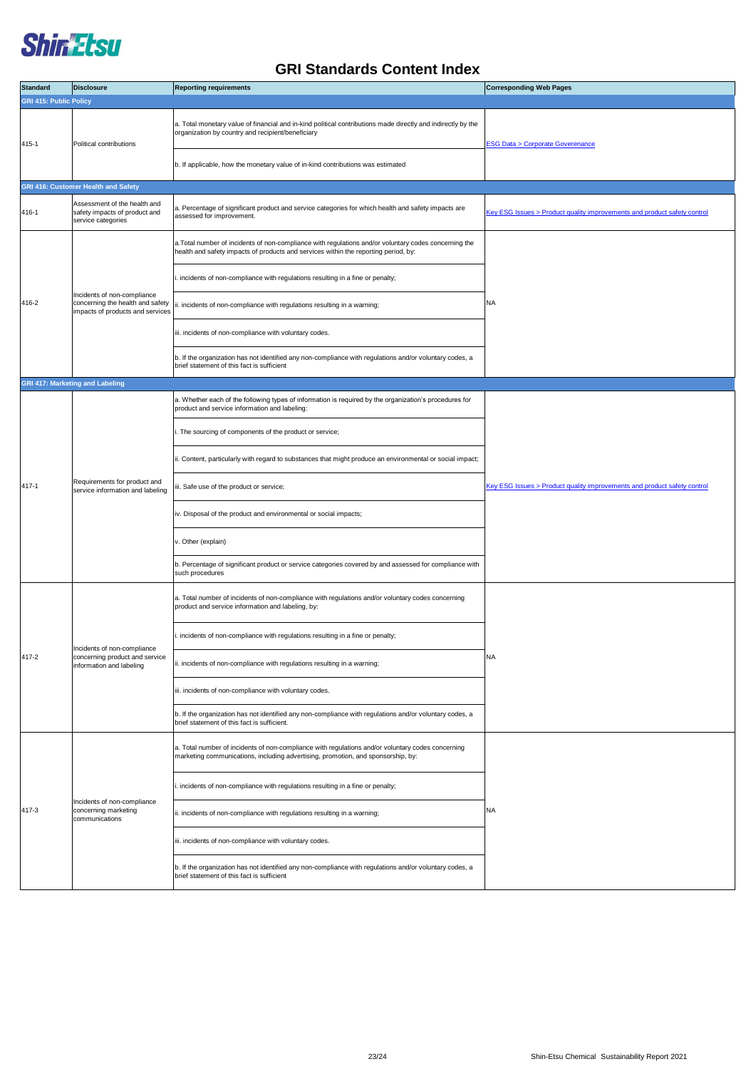

| <b>Standard</b>               | <b>Disclosure</b>                                                                                   | <b>Reporting requirements</b>                                                                                                                                                                | <b>Corresponding Web Pages</b>                                           |
|-------------------------------|-----------------------------------------------------------------------------------------------------|----------------------------------------------------------------------------------------------------------------------------------------------------------------------------------------------|--------------------------------------------------------------------------|
| <b>GRI 415: Public Policy</b> |                                                                                                     |                                                                                                                                                                                              |                                                                          |
| 415-1                         | Political contributions                                                                             | a. Total monetary value of financial and in-kind political contributions made directly and indirectly by the<br>organization by country and recipient/beneficiary                            | <b>ESG Data &gt; Corporate Goverenance</b>                               |
|                               |                                                                                                     | b. If applicable, how the monetary value of in-kind contributions was estimated                                                                                                              |                                                                          |
|                               | <b>GRI 416: Customer Health and Safety</b>                                                          |                                                                                                                                                                                              |                                                                          |
| 416-1                         | Assessment of the health and<br>safety impacts of product and<br>service categories                 | a. Percentage of significant product and service categories for which health and safety impacts are<br>assessed for improvement.                                                             | Key ESG Issues > Product quality improvements and product safety control |
| 416-2                         | Incidents of non-compliance<br>concerning the health and safety<br>impacts of products and services | a. Total number of incidents of non-compliance with regulations and/or voluntary codes concerning the<br>health and safety impacts of products and services within the reporting period, by: | NA                                                                       |
|                               |                                                                                                     | incidents of non-compliance with regulations resulting in a fine or penalty;                                                                                                                 |                                                                          |
|                               |                                                                                                     | ii. incidents of non-compliance with regulations resulting in a warning;                                                                                                                     |                                                                          |
|                               |                                                                                                     | iii. incidents of non-compliance with voluntary codes.                                                                                                                                       |                                                                          |
|                               |                                                                                                     | b. If the organization has not identified any non-compliance with regulations and/or voluntary codes, a<br>brief statement of this fact is sufficient                                        |                                                                          |
|                               | <b>GRI 417: Marketing and Labeling</b>                                                              |                                                                                                                                                                                              |                                                                          |
|                               |                                                                                                     | a. Whether each of the following types of information is required by the organization's procedures for<br>product and service information and labeling:                                      | Key ESG Issues > Product quality improvements and product safety control |
|                               |                                                                                                     | The sourcing of components of the product or service;                                                                                                                                        |                                                                          |
|                               |                                                                                                     | ii. Content, particularly with regard to substances that might produce an environmental or social impact;                                                                                    |                                                                          |
| 417-1                         | Requirements for product and<br>service information and labeling                                    | iii. Safe use of the product or service;                                                                                                                                                     |                                                                          |
|                               |                                                                                                     | iv. Disposal of the product and environmental or social impacts;                                                                                                                             |                                                                          |
|                               |                                                                                                     | v. Other (explain)                                                                                                                                                                           |                                                                          |
|                               |                                                                                                     | b. Percentage of significant product or service categories covered by and assessed for compliance with<br>such procedures                                                                    |                                                                          |
|                               | Incidents of non-compliance<br>concerning product and service<br>information and labeling           | a. Total number of incidents of non-compliance with regulations and/or voluntary codes concerning<br>product and service information and labeling, by:                                       |                                                                          |
|                               |                                                                                                     | incidents of non-compliance with regulations resulting in a fine or penalty;                                                                                                                 | <b>NA</b>                                                                |
| 417-2                         |                                                                                                     | ii. incidents of non-compliance with regulations resulting in a warning;                                                                                                                     |                                                                          |
|                               |                                                                                                     | iii. incidents of non-compliance with voluntary codes.                                                                                                                                       |                                                                          |
|                               |                                                                                                     | b. If the organization has not identified any non-compliance with regulations and/or voluntary codes, a<br>brief statement of this fact is sufficient.                                       |                                                                          |
| 417-3                         | Incidents of non-compliance<br>concerning marketing<br>communications                               | a. Total number of incidents of non-compliance with regulations and/or voluntary codes concerning<br>marketing communications, including advertising, promotion, and sponsorship, by:        | <b>NA</b>                                                                |
|                               |                                                                                                     | incidents of non-compliance with regulations resulting in a fine or penalty;                                                                                                                 |                                                                          |
|                               |                                                                                                     | ii. incidents of non-compliance with regulations resulting in a warning;                                                                                                                     |                                                                          |
|                               |                                                                                                     | iii. incidents of non-compliance with voluntary codes.                                                                                                                                       |                                                                          |
|                               |                                                                                                     | o. If the organization has not identified any non-compliance with regulations and/or voluntary codes, a<br>brief statement of this fact is sufficient                                        |                                                                          |